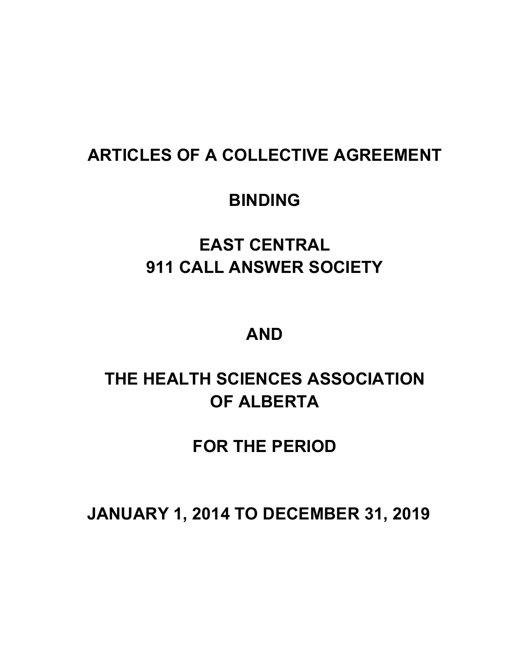## **ARTICLES OF A COLLECTIVE AGREEMENT**

## **BINDING**

# **EAST CENTRAL 911 CALL ANSWER SOCIETY**

## **AND**

# **THE HEALTH SCIENCES ASSOCIATION OF ALBERTA**

## **FOR THE PERIOD**

**JANUARY 1, 2014 TO DECEMBER 31, 2019**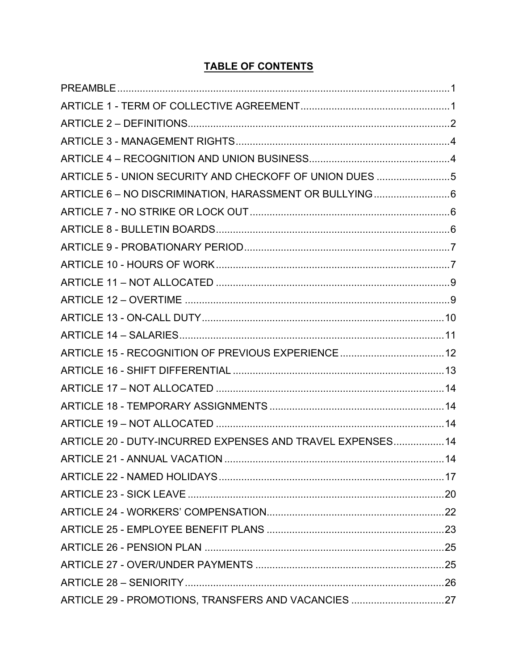## **TABLE OF CONTENTS**

| ARTICLE 5 - UNION SECURITY AND CHECKOFF OF UNION DUES 5    |  |
|------------------------------------------------------------|--|
| ARTICLE 6 - NO DISCRIMINATION, HARASSMENT OR BULLYING6     |  |
|                                                            |  |
|                                                            |  |
|                                                            |  |
|                                                            |  |
|                                                            |  |
|                                                            |  |
|                                                            |  |
|                                                            |  |
| ARTICLE 15 - RECOGNITION OF PREVIOUS EXPERIENCE 12         |  |
|                                                            |  |
|                                                            |  |
|                                                            |  |
|                                                            |  |
| ARTICLE 20 - DUTY-INCURRED EXPENSES AND TRAVEL EXPENSES 14 |  |
|                                                            |  |
|                                                            |  |
|                                                            |  |
|                                                            |  |
|                                                            |  |
|                                                            |  |
|                                                            |  |
|                                                            |  |
| ARTICLE 29 - PROMOTIONS, TRANSFERS AND VACANCIES 27        |  |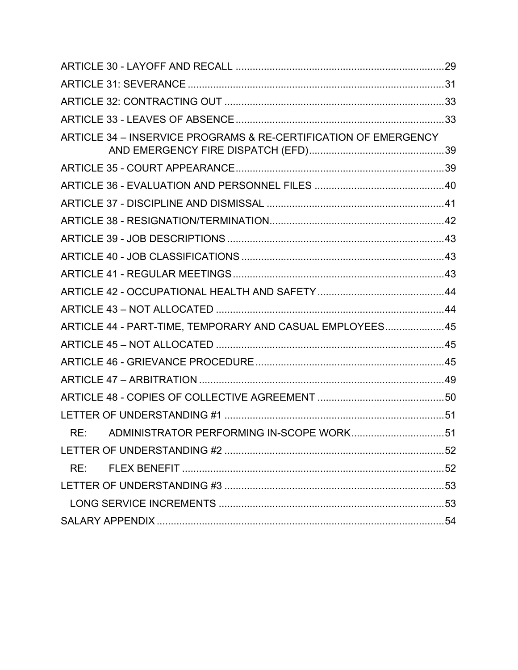| ARTICLE 34 - INSERVICE PROGRAMS & RE-CERTIFICATION OF EMERGENCY |  |
|-----------------------------------------------------------------|--|
|                                                                 |  |
|                                                                 |  |
|                                                                 |  |
|                                                                 |  |
|                                                                 |  |
|                                                                 |  |
|                                                                 |  |
|                                                                 |  |
|                                                                 |  |
| ARTICLE 44 - PART-TIME, TEMPORARY AND CASUAL EMPLOYEES45        |  |
|                                                                 |  |
|                                                                 |  |
|                                                                 |  |
|                                                                 |  |
|                                                                 |  |
|                                                                 |  |
|                                                                 |  |
| RE:                                                             |  |
|                                                                 |  |
|                                                                 |  |
|                                                                 |  |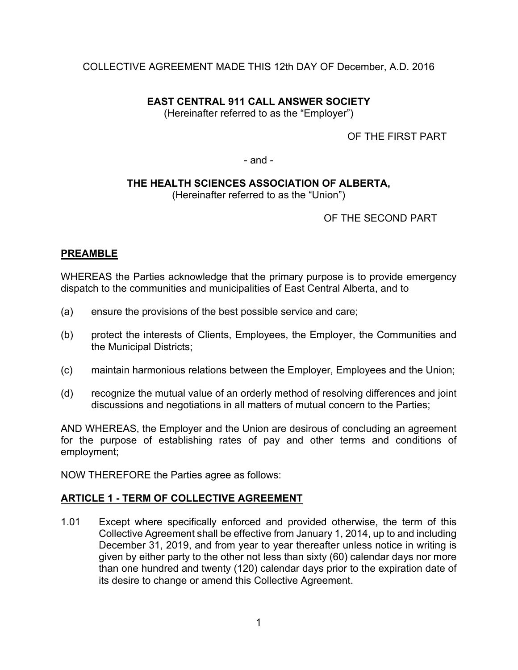## COLLECTIVE AGREEMENT MADE THIS 12th DAY OF December, A.D. 2016

## **EAST CENTRAL 911 CALL ANSWER SOCIETY**

(Hereinafter referred to as the "Employer")

OF THE FIRST PART

- and -

## **THE HEALTH SCIENCES ASSOCIATION OF ALBERTA,**

(Hereinafter referred to as the "Union")

OF THE SECOND PART

## **PREAMBLE**

WHEREAS the Parties acknowledge that the primary purpose is to provide emergency dispatch to the communities and municipalities of East Central Alberta, and to

- (a) ensure the provisions of the best possible service and care;
- (b) protect the interests of Clients, Employees, the Employer, the Communities and the Municipal Districts;
- (c) maintain harmonious relations between the Employer, Employees and the Union;
- (d) recognize the mutual value of an orderly method of resolving differences and joint discussions and negotiations in all matters of mutual concern to the Parties;

AND WHEREAS, the Employer and the Union are desirous of concluding an agreement for the purpose of establishing rates of pay and other terms and conditions of employment;

NOW THEREFORE the Parties agree as follows:

## **ARTICLE 1 - TERM OF COLLECTIVE AGREEMENT**

1.01 Except where specifically enforced and provided otherwise, the term of this Collective Agreement shall be effective from January 1, 2014, up to and including December 31, 2019, and from year to year thereafter unless notice in writing is given by either party to the other not less than sixty (60) calendar days nor more than one hundred and twenty (120) calendar days prior to the expiration date of its desire to change or amend this Collective Agreement.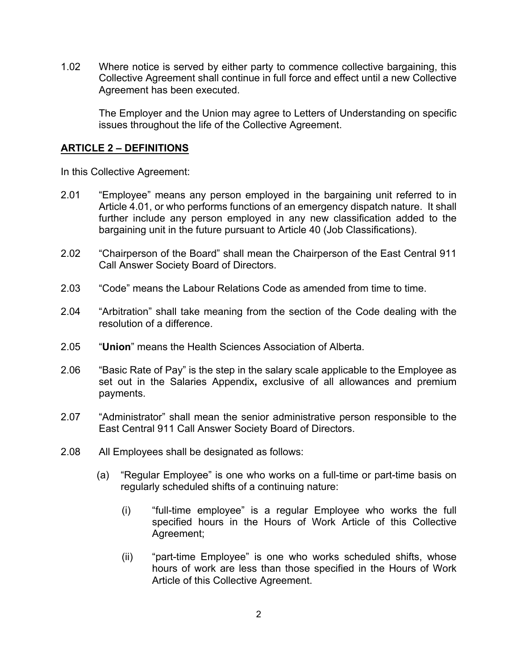1.02 Where notice is served by either party to commence collective bargaining, this Collective Agreement shall continue in full force and effect until a new Collective Agreement has been executed.

The Employer and the Union may agree to Letters of Understanding on specific issues throughout the life of the Collective Agreement.

## **ARTICLE 2 – DEFINITIONS**

In this Collective Agreement:

- 2.01 "Employee" means any person employed in the bargaining unit referred to in Article 4.01, or who performs functions of an emergency dispatch nature. It shall further include any person employed in any new classification added to the bargaining unit in the future pursuant to Article 40 (Job Classifications).
- 2.02 "Chairperson of the Board" shall mean the Chairperson of the East Central 911 Call Answer Society Board of Directors.
- 2.03 "Code" means the Labour Relations Code as amended from time to time.
- 2.04 "Arbitration" shall take meaning from the section of the Code dealing with the resolution of a difference.
- 2.05 "**Union**" means the Health Sciences Association of Alberta.
- 2.06 "Basic Rate of Pay" is the step in the salary scale applicable to the Employee as set out in the Salaries Appendix**,** exclusive of all allowances and premium payments.
- 2.07 "Administrator" shall mean the senior administrative person responsible to the East Central 911 Call Answer Society Board of Directors.
- 2.08 All Employees shall be designated as follows:
	- (a) "Regular Employee" is one who works on a full-time or part-time basis on regularly scheduled shifts of a continuing nature:
		- (i) "full-time employee" is a regular Employee who works the full specified hours in the Hours of Work Article of this Collective Agreement;
		- (ii) "part-time Employee" is one who works scheduled shifts, whose hours of work are less than those specified in the Hours of Work Article of this Collective Agreement.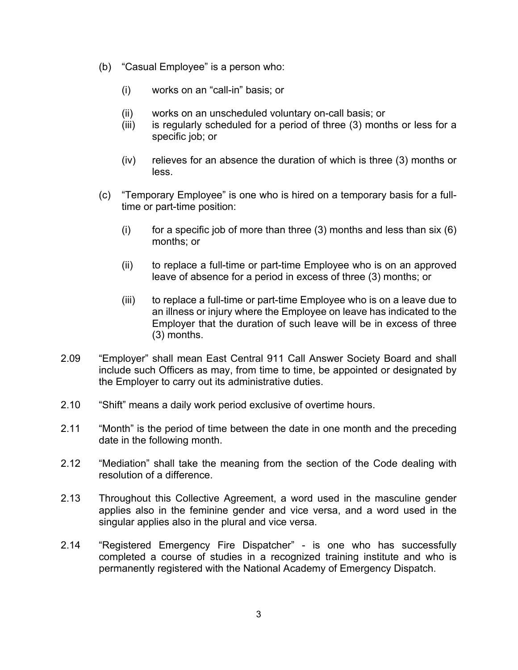- (b) "Casual Employee" is a person who:
	- (i) works on an "call-in" basis; or
	- (ii) works on an unscheduled voluntary on-call basis; or
	- (iii) is regularly scheduled for a period of three (3) months or less for a specific job; or
	- (iv) relieves for an absence the duration of which is three (3) months or less.
- (c) "Temporary Employee" is one who is hired on a temporary basis for a fulltime or part-time position:
	- (i) for a specific job of more than three  $(3)$  months and less than six  $(6)$ months; or
	- (ii) to replace a full-time or part-time Employee who is on an approved leave of absence for a period in excess of three (3) months; or
	- (iii) to replace a full-time or part-time Employee who is on a leave due to an illness or injury where the Employee on leave has indicated to the Employer that the duration of such leave will be in excess of three (3) months.
- 2.09 "Employer" shall mean East Central 911 Call Answer Society Board and shall include such Officers as may, from time to time, be appointed or designated by the Employer to carry out its administrative duties.
- 2.10 "Shift" means a daily work period exclusive of overtime hours.
- 2.11 "Month" is the period of time between the date in one month and the preceding date in the following month.
- 2.12 "Mediation" shall take the meaning from the section of the Code dealing with resolution of a difference.
- 2.13 Throughout this Collective Agreement, a word used in the masculine gender applies also in the feminine gender and vice versa, and a word used in the singular applies also in the plural and vice versa.
- 2.14 "Registered Emergency Fire Dispatcher" is one who has successfully completed a course of studies in a recognized training institute and who is permanently registered with the National Academy of Emergency Dispatch.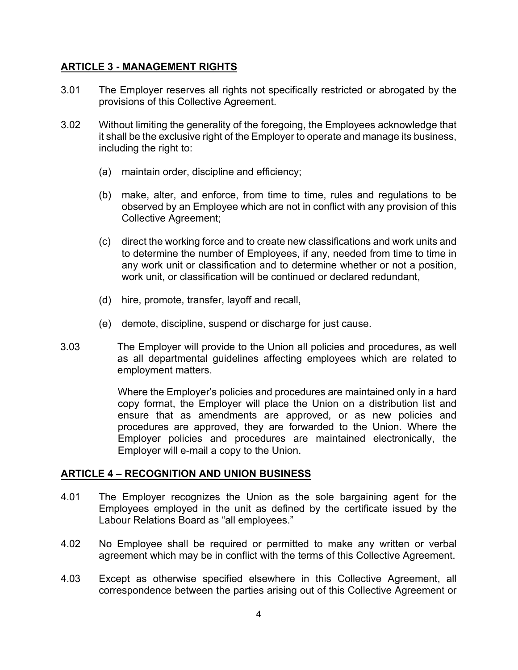## **ARTICLE 3 - MANAGEMENT RIGHTS**

- 3.01 The Employer reserves all rights not specifically restricted or abrogated by the provisions of this Collective Agreement.
- 3.02 Without limiting the generality of the foregoing, the Employees acknowledge that it shall be the exclusive right of the Employer to operate and manage its business, including the right to:
	- (a) maintain order, discipline and efficiency;
	- (b) make, alter, and enforce, from time to time, rules and regulations to be observed by an Employee which are not in conflict with any provision of this Collective Agreement;
	- (c) direct the working force and to create new classifications and work units and to determine the number of Employees, if any, needed from time to time in any work unit or classification and to determine whether or not a position, work unit, or classification will be continued or declared redundant,
	- (d) hire, promote, transfer, layoff and recall,
	- (e) demote, discipline, suspend or discharge for just cause.
- 3.03 The Employer will provide to the Union all policies and procedures, as well as all departmental guidelines affecting employees which are related to employment matters.

Where the Employer's policies and procedures are maintained only in a hard copy format, the Employer will place the Union on a distribution list and ensure that as amendments are approved, or as new policies and procedures are approved, they are forwarded to the Union. Where the Employer policies and procedures are maintained electronically, the Employer will e-mail a copy to the Union.

## **ARTICLE 4 – RECOGNITION AND UNION BUSINESS**

- 4.01 The Employer recognizes the Union as the sole bargaining agent for the Employees employed in the unit as defined by the certificate issued by the Labour Relations Board as "all employees."
- 4.02 No Employee shall be required or permitted to make any written or verbal agreement which may be in conflict with the terms of this Collective Agreement.
- 4.03 Except as otherwise specified elsewhere in this Collective Agreement, all correspondence between the parties arising out of this Collective Agreement or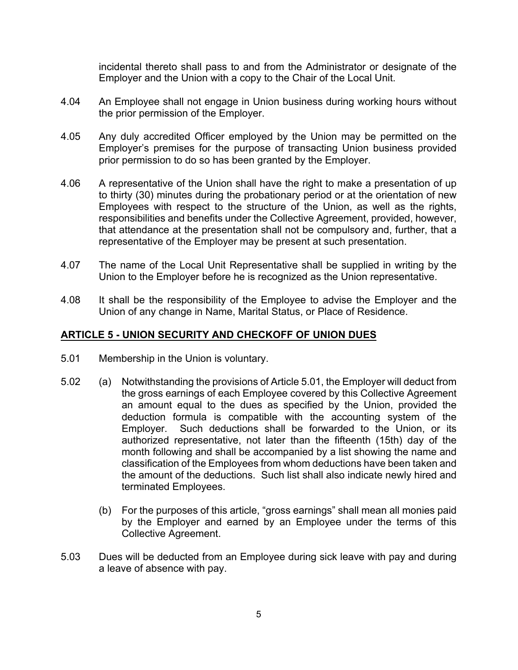incidental thereto shall pass to and from the Administrator or designate of the Employer and the Union with a copy to the Chair of the Local Unit.

- 4.04 An Employee shall not engage in Union business during working hours without the prior permission of the Employer.
- 4.05 Any duly accredited Officer employed by the Union may be permitted on the Employer's premises for the purpose of transacting Union business provided prior permission to do so has been granted by the Employer.
- 4.06 A representative of the Union shall have the right to make a presentation of up to thirty (30) minutes during the probationary period or at the orientation of new Employees with respect to the structure of the Union, as well as the rights, responsibilities and benefits under the Collective Agreement, provided, however, that attendance at the presentation shall not be compulsory and, further, that a representative of the Employer may be present at such presentation.
- 4.07 The name of the Local Unit Representative shall be supplied in writing by the Union to the Employer before he is recognized as the Union representative.
- 4.08 It shall be the responsibility of the Employee to advise the Employer and the Union of any change in Name, Marital Status, or Place of Residence.

## **ARTICLE 5 - UNION SECURITY AND CHECKOFF OF UNION DUES**

- 5.01 Membership in the Union is voluntary.
- 5.02 (a) Notwithstanding the provisions of Article 5.01, the Employer will deduct from the gross earnings of each Employee covered by this Collective Agreement an amount equal to the dues as specified by the Union, provided the deduction formula is compatible with the accounting system of the Employer. Such deductions shall be forwarded to the Union, or its authorized representative, not later than the fifteenth (15th) day of the month following and shall be accompanied by a list showing the name and classification of the Employees from whom deductions have been taken and the amount of the deductions. Such list shall also indicate newly hired and terminated Employees.
	- (b) For the purposes of this article, "gross earnings" shall mean all monies paid by the Employer and earned by an Employee under the terms of this Collective Agreement.
- 5.03 Dues will be deducted from an Employee during sick leave with pay and during a leave of absence with pay.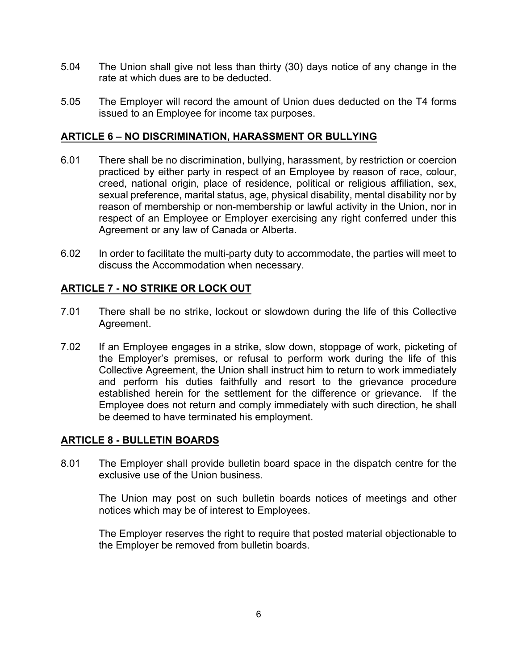- 5.04 The Union shall give not less than thirty (30) days notice of any change in the rate at which dues are to be deducted.
- 5.05 The Employer will record the amount of Union dues deducted on the T4 forms issued to an Employee for income tax purposes.

### **ARTICLE 6 – NO DISCRIMINATION, HARASSMENT OR BULLYING**

- 6.01 There shall be no discrimination, bullying, harassment, by restriction or coercion practiced by either party in respect of an Employee by reason of race, colour, creed, national origin, place of residence, political or religious affiliation, sex, sexual preference, marital status, age, physical disability, mental disability nor by reason of membership or non-membership or lawful activity in the Union, nor in respect of an Employee or Employer exercising any right conferred under this Agreement or any law of Canada or Alberta.
- 6.02 In order to facilitate the multi-party duty to accommodate, the parties will meet to discuss the Accommodation when necessary.

## **ARTICLE 7 - NO STRIKE OR LOCK OUT**

- 7.01 There shall be no strike, lockout or slowdown during the life of this Collective Agreement.
- 7.02 If an Employee engages in a strike, slow down, stoppage of work, picketing of the Employer's premises, or refusal to perform work during the life of this Collective Agreement, the Union shall instruct him to return to work immediately and perform his duties faithfully and resort to the grievance procedure established herein for the settlement for the difference or grievance. If the Employee does not return and comply immediately with such direction, he shall be deemed to have terminated his employment.

#### **ARTICLE 8 - BULLETIN BOARDS**

8.01 The Employer shall provide bulletin board space in the dispatch centre for the exclusive use of the Union business.

The Union may post on such bulletin boards notices of meetings and other notices which may be of interest to Employees.

The Employer reserves the right to require that posted material objectionable to the Employer be removed from bulletin boards.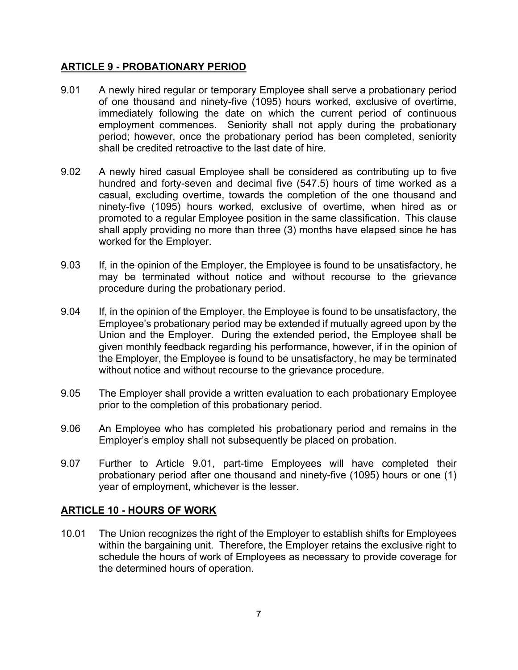## **ARTICLE 9 - PROBATIONARY PERIOD**

- 9.01 A newly hired regular or temporary Employee shall serve a probationary period of one thousand and ninety-five (1095) hours worked, exclusive of overtime, immediately following the date on which the current period of continuous employment commences. Seniority shall not apply during the probationary period; however, once the probationary period has been completed, seniority shall be credited retroactive to the last date of hire.
- 9.02 A newly hired casual Employee shall be considered as contributing up to five hundred and forty-seven and decimal five (547.5) hours of time worked as a casual, excluding overtime, towards the completion of the one thousand and ninety-five (1095) hours worked, exclusive of overtime, when hired as or promoted to a regular Employee position in the same classification. This clause shall apply providing no more than three (3) months have elapsed since he has worked for the Employer.
- 9.03 If, in the opinion of the Employer, the Employee is found to be unsatisfactory, he may be terminated without notice and without recourse to the grievance procedure during the probationary period.
- 9.04 If, in the opinion of the Employer, the Employee is found to be unsatisfactory, the Employee's probationary period may be extended if mutually agreed upon by the Union and the Employer. During the extended period, the Employee shall be given monthly feedback regarding his performance, however, if in the opinion of the Employer, the Employee is found to be unsatisfactory, he may be terminated without notice and without recourse to the grievance procedure.
- 9.05 The Employer shall provide a written evaluation to each probationary Employee prior to the completion of this probationary period.
- 9.06 An Employee who has completed his probationary period and remains in the Employer's employ shall not subsequently be placed on probation.
- 9.07 Further to Article 9.01, part-time Employees will have completed their probationary period after one thousand and ninety-five (1095) hours or one (1) year of employment, whichever is the lesser.

## **ARTICLE 10 - HOURS OF WORK**

10.01 The Union recognizes the right of the Employer to establish shifts for Employees within the bargaining unit. Therefore, the Employer retains the exclusive right to schedule the hours of work of Employees as necessary to provide coverage for the determined hours of operation.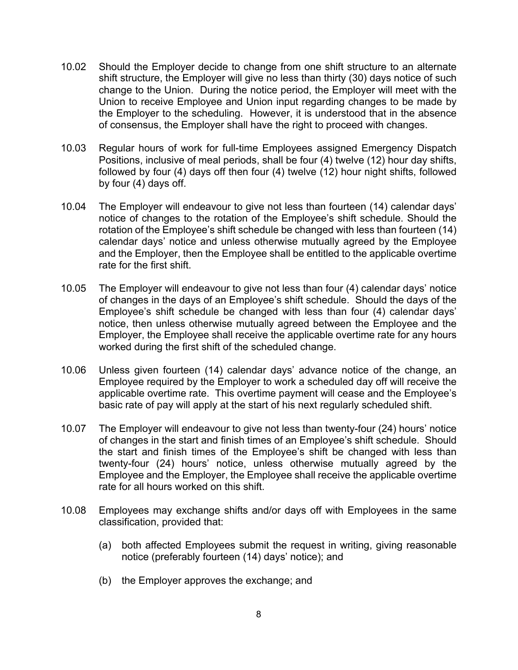- 10.02 Should the Employer decide to change from one shift structure to an alternate shift structure, the Employer will give no less than thirty (30) days notice of such change to the Union. During the notice period, the Employer will meet with the Union to receive Employee and Union input regarding changes to be made by the Employer to the scheduling. However, it is understood that in the absence of consensus, the Employer shall have the right to proceed with changes.
- 10.03 Regular hours of work for full-time Employees assigned Emergency Dispatch Positions, inclusive of meal periods, shall be four (4) twelve (12) hour day shifts, followed by four (4) days off then four (4) twelve (12) hour night shifts, followed by four (4) days off.
- 10.04 The Employer will endeavour to give not less than fourteen (14) calendar days' notice of changes to the rotation of the Employee's shift schedule. Should the rotation of the Employee's shift schedule be changed with less than fourteen (14) calendar days' notice and unless otherwise mutually agreed by the Employee and the Employer, then the Employee shall be entitled to the applicable overtime rate for the first shift.
- 10.05 The Employer will endeavour to give not less than four (4) calendar days' notice of changes in the days of an Employee's shift schedule. Should the days of the Employee's shift schedule be changed with less than four (4) calendar days' notice, then unless otherwise mutually agreed between the Employee and the Employer, the Employee shall receive the applicable overtime rate for any hours worked during the first shift of the scheduled change.
- 10.06 Unless given fourteen (14) calendar days' advance notice of the change, an Employee required by the Employer to work a scheduled day off will receive the applicable overtime rate. This overtime payment will cease and the Employee's basic rate of pay will apply at the start of his next regularly scheduled shift.
- 10.07 The Employer will endeavour to give not less than twenty-four (24) hours' notice of changes in the start and finish times of an Employee's shift schedule. Should the start and finish times of the Employee's shift be changed with less than twenty-four (24) hours' notice, unless otherwise mutually agreed by the Employee and the Employer, the Employee shall receive the applicable overtime rate for all hours worked on this shift.
- 10.08 Employees may exchange shifts and/or days off with Employees in the same classification, provided that:
	- (a) both affected Employees submit the request in writing, giving reasonable notice (preferably fourteen (14) days' notice); and
	- (b) the Employer approves the exchange; and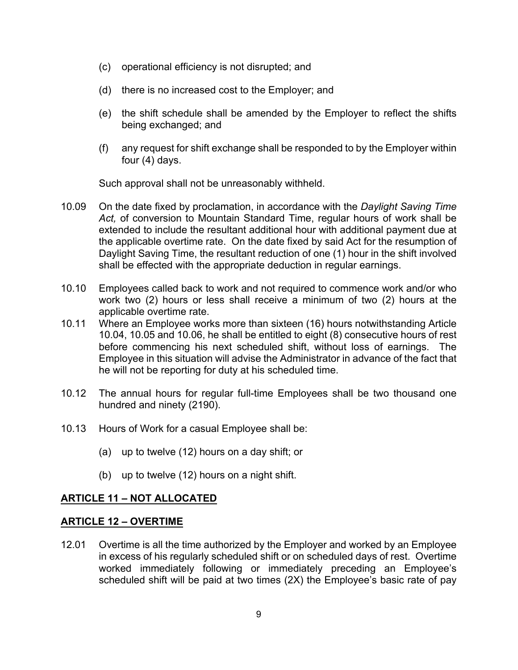- (c) operational efficiency is not disrupted; and
- (d) there is no increased cost to the Employer; and
- (e) the shift schedule shall be amended by the Employer to reflect the shifts being exchanged; and
- (f) any request for shift exchange shall be responded to by the Employer within four (4) days.

Such approval shall not be unreasonably withheld.

- 10.09 On the date fixed by proclamation, in accordance with the *Daylight Saving Time Act,* of conversion to Mountain Standard Time, regular hours of work shall be extended to include the resultant additional hour with additional payment due at the applicable overtime rate. On the date fixed by said Act for the resumption of Daylight Saving Time, the resultant reduction of one (1) hour in the shift involved shall be effected with the appropriate deduction in regular earnings.
- 10.10 Employees called back to work and not required to commence work and/or who work two (2) hours or less shall receive a minimum of two (2) hours at the applicable overtime rate.
- 10.11 Where an Employee works more than sixteen (16) hours notwithstanding Article 10.04, 10.05 and 10.06, he shall be entitled to eight (8) consecutive hours of rest before commencing his next scheduled shift, without loss of earnings. The Employee in this situation will advise the Administrator in advance of the fact that he will not be reporting for duty at his scheduled time.
- 10.12 The annual hours for regular full-time Employees shall be two thousand one hundred and ninety (2190).
- 10.13 Hours of Work for a casual Employee shall be:
	- (a) up to twelve (12) hours on a day shift; or
	- (b) up to twelve (12) hours on a night shift.

## **ARTICLE 11 – NOT ALLOCATED**

## **ARTICLE 12 – OVERTIME**

12.01 Overtime is all the time authorized by the Employer and worked by an Employee in excess of his regularly scheduled shift or on scheduled days of rest. Overtime worked immediately following or immediately preceding an Employee's scheduled shift will be paid at two times (2X) the Employee's basic rate of pay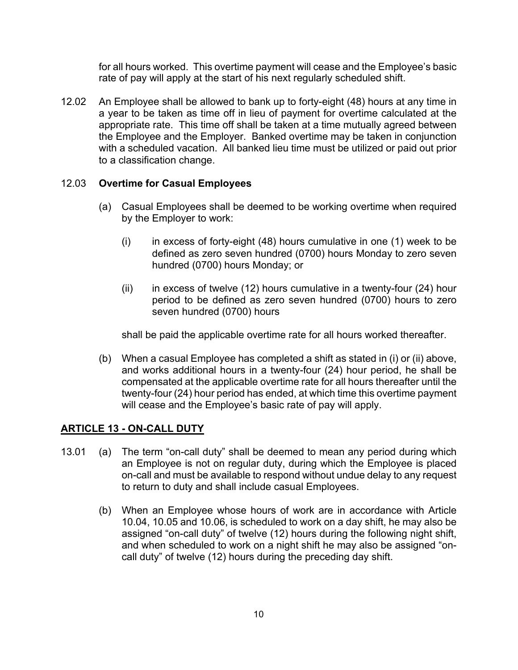for all hours worked. This overtime payment will cease and the Employee's basic rate of pay will apply at the start of his next regularly scheduled shift.

12.02 An Employee shall be allowed to bank up to forty-eight (48) hours at any time in a year to be taken as time off in lieu of payment for overtime calculated at the appropriate rate. This time off shall be taken at a time mutually agreed between the Employee and the Employer. Banked overtime may be taken in conjunction with a scheduled vacation. All banked lieu time must be utilized or paid out prior to a classification change.

## 12.03 **Overtime for Casual Employees**

- (a) Casual Employees shall be deemed to be working overtime when required by the Employer to work:
	- $(i)$  in excess of forty-eight (48) hours cumulative in one (1) week to be defined as zero seven hundred (0700) hours Monday to zero seven hundred (0700) hours Monday; or
	- (ii) in excess of twelve (12) hours cumulative in a twenty-four (24) hour period to be defined as zero seven hundred (0700) hours to zero seven hundred (0700) hours

shall be paid the applicable overtime rate for all hours worked thereafter.

(b) When a casual Employee has completed a shift as stated in (i) or (ii) above, and works additional hours in a twenty-four (24) hour period, he shall be compensated at the applicable overtime rate for all hours thereafter until the twenty-four (24) hour period has ended, at which time this overtime payment will cease and the Employee's basic rate of pay will apply.

## **ARTICLE 13 - ON-CALL DUTY**

- 13.01 (a) The term "on-call duty" shall be deemed to mean any period during which an Employee is not on regular duty, during which the Employee is placed on-call and must be available to respond without undue delay to any request to return to duty and shall include casual Employees.
	- (b) When an Employee whose hours of work are in accordance with Article 10.04, 10.05 and 10.06, is scheduled to work on a day shift, he may also be assigned "on-call duty" of twelve (12) hours during the following night shift, and when scheduled to work on a night shift he may also be assigned "oncall duty" of twelve (12) hours during the preceding day shift.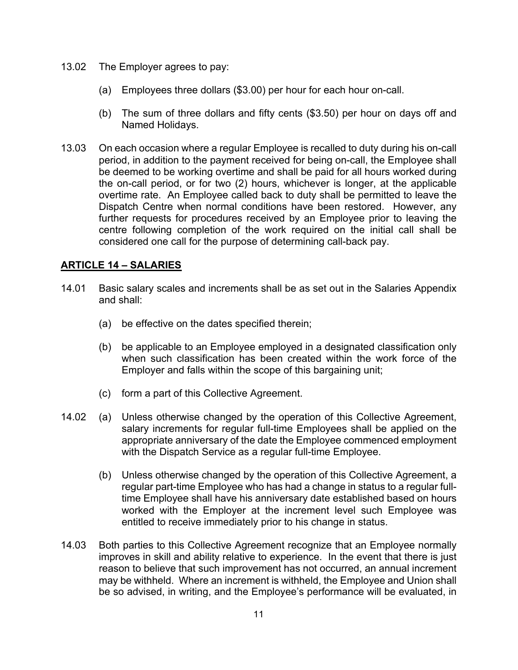- 13.02 The Employer agrees to pay:
	- (a) Employees three dollars (\$3.00) per hour for each hour on-call.
	- (b) The sum of three dollars and fifty cents (\$3.50) per hour on days off and Named Holidays.
- 13.03 On each occasion where a regular Employee is recalled to duty during his on-call period, in addition to the payment received for being on-call, the Employee shall be deemed to be working overtime and shall be paid for all hours worked during the on-call period, or for two (2) hours, whichever is longer, at the applicable overtime rate. An Employee called back to duty shall be permitted to leave the Dispatch Centre when normal conditions have been restored. However, any further requests for procedures received by an Employee prior to leaving the centre following completion of the work required on the initial call shall be considered one call for the purpose of determining call-back pay.

## **ARTICLE 14 – SALARIES**

- 14.01 Basic salary scales and increments shall be as set out in the Salaries Appendix and shall:
	- (a) be effective on the dates specified therein;
	- (b) be applicable to an Employee employed in a designated classification only when such classification has been created within the work force of the Employer and falls within the scope of this bargaining unit;
	- (c) form a part of this Collective Agreement.
- 14.02 (a) Unless otherwise changed by the operation of this Collective Agreement, salary increments for regular full-time Employees shall be applied on the appropriate anniversary of the date the Employee commenced employment with the Dispatch Service as a regular full-time Employee.
	- (b) Unless otherwise changed by the operation of this Collective Agreement, a regular part-time Employee who has had a change in status to a regular fulltime Employee shall have his anniversary date established based on hours worked with the Employer at the increment level such Employee was entitled to receive immediately prior to his change in status.
- 14.03 Both parties to this Collective Agreement recognize that an Employee normally improves in skill and ability relative to experience. In the event that there is just reason to believe that such improvement has not occurred, an annual increment may be withheld. Where an increment is withheld, the Employee and Union shall be so advised, in writing, and the Employee's performance will be evaluated, in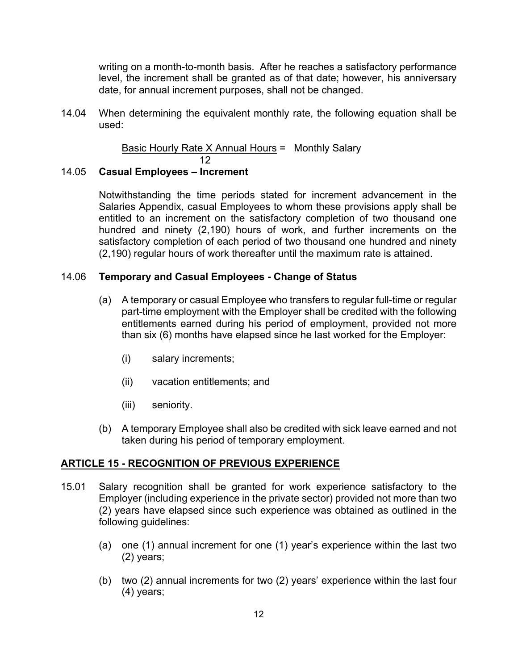writing on a month-to-month basis. After he reaches a satisfactory performance level, the increment shall be granted as of that date; however, his anniversary date, for annual increment purposes, shall not be changed.

14.04 When determining the equivalent monthly rate, the following equation shall be used:

> Basic Hourly Rate X Annual Hours = Monthly Salary 12

## 14.05 **Casual Employees – Increment**

Notwithstanding the time periods stated for increment advancement in the Salaries Appendix, casual Employees to whom these provisions apply shall be entitled to an increment on the satisfactory completion of two thousand one hundred and ninety (2,190) hours of work, and further increments on the satisfactory completion of each period of two thousand one hundred and ninety (2,190) regular hours of work thereafter until the maximum rate is attained.

## 14.06 **Temporary and Casual Employees - Change of Status**

- (a) A temporary or casual Employee who transfers to regular full-time or regular part-time employment with the Employer shall be credited with the following entitlements earned during his period of employment, provided not more than six (6) months have elapsed since he last worked for the Employer:
	- (i) salary increments;
	- (ii) vacation entitlements; and
	- (iii) seniority.
- (b) A temporary Employee shall also be credited with sick leave earned and not taken during his period of temporary employment.

## **ARTICLE 15 - RECOGNITION OF PREVIOUS EXPERIENCE**

- 15.01 Salary recognition shall be granted for work experience satisfactory to the Employer (including experience in the private sector) provided not more than two (2) years have elapsed since such experience was obtained as outlined in the following guidelines:
	- (a) one (1) annual increment for one (1) year's experience within the last two (2) years;
	- (b) two (2) annual increments for two (2) years' experience within the last four (4) years;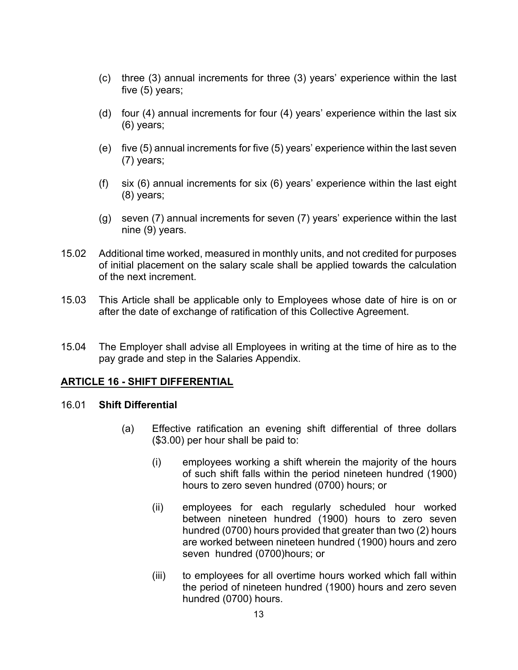- (c) three (3) annual increments for three (3) years' experience within the last five (5) years;
- (d) four (4) annual increments for four (4) years' experience within the last six (6) years;
- (e) five (5) annual increments for five (5) years' experience within the last seven (7) years;
- (f) six (6) annual increments for six (6) years' experience within the last eight (8) years;
- (g) seven (7) annual increments for seven (7) years' experience within the last nine (9) years.
- 15.02 Additional time worked, measured in monthly units, and not credited for purposes of initial placement on the salary scale shall be applied towards the calculation of the next increment.
- 15.03 This Article shall be applicable only to Employees whose date of hire is on or after the date of exchange of ratification of this Collective Agreement.
- 15.04 The Employer shall advise all Employees in writing at the time of hire as to the pay grade and step in the Salaries Appendix.

## **ARTICLE 16 - SHIFT DIFFERENTIAL**

#### 16.01 **Shift Differential**

- (a) Effective ratification an evening shift differential of three dollars (\$3.00) per hour shall be paid to:
	- (i) employees working a shift wherein the majority of the hours of such shift falls within the period nineteen hundred (1900) hours to zero seven hundred (0700) hours; or
	- (ii) employees for each regularly scheduled hour worked between nineteen hundred (1900) hours to zero seven hundred (0700) hours provided that greater than two (2) hours are worked between nineteen hundred (1900) hours and zero seven hundred (0700)hours; or
	- (iii) to employees for all overtime hours worked which fall within the period of nineteen hundred (1900) hours and zero seven hundred (0700) hours.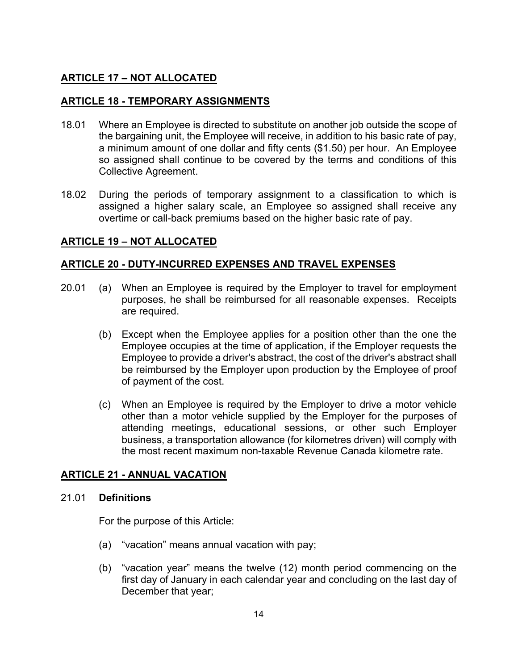## **ARTICLE 17 – NOT ALLOCATED**

### **ARTICLE 18 - TEMPORARY ASSIGNMENTS**

- 18.01 Where an Employee is directed to substitute on another job outside the scope of the bargaining unit, the Employee will receive, in addition to his basic rate of pay, a minimum amount of one dollar and fifty cents (\$1.50) per hour. An Employee so assigned shall continue to be covered by the terms and conditions of this Collective Agreement.
- 18.02 During the periods of temporary assignment to a classification to which is assigned a higher salary scale, an Employee so assigned shall receive any overtime or call-back premiums based on the higher basic rate of pay.

## **ARTICLE 19 – NOT ALLOCATED**

#### **ARTICLE 20 - DUTY-INCURRED EXPENSES AND TRAVEL EXPENSES**

- 20.01 (a) When an Employee is required by the Employer to travel for employment purposes, he shall be reimbursed for all reasonable expenses. Receipts are required.
	- (b) Except when the Employee applies for a position other than the one the Employee occupies at the time of application, if the Employer requests the Employee to provide a driver's abstract, the cost of the driver's abstract shall be reimbursed by the Employer upon production by the Employee of proof of payment of the cost.
	- (c) When an Employee is required by the Employer to drive a motor vehicle other than a motor vehicle supplied by the Employer for the purposes of attending meetings, educational sessions, or other such Employer business, a transportation allowance (for kilometres driven) will comply with the most recent maximum non-taxable Revenue Canada kilometre rate.

## **ARTICLE 21 - ANNUAL VACATION**

#### 21.01 **Definitions**

For the purpose of this Article:

- (a) "vacation" means annual vacation with pay;
- (b) "vacation year" means the twelve (12) month period commencing on the first day of January in each calendar year and concluding on the last day of December that year;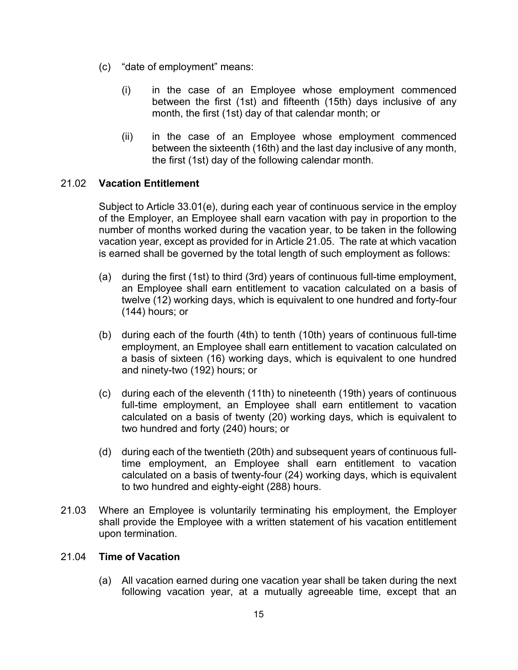- (c) "date of employment" means:
	- (i) in the case of an Employee whose employment commenced between the first (1st) and fifteenth (15th) days inclusive of any month, the first (1st) day of that calendar month; or
	- (ii) in the case of an Employee whose employment commenced between the sixteenth (16th) and the last day inclusive of any month, the first (1st) day of the following calendar month.

## 21.02 **Vacation Entitlement**

Subject to Article 33.01(e), during each year of continuous service in the employ of the Employer, an Employee shall earn vacation with pay in proportion to the number of months worked during the vacation year, to be taken in the following vacation year, except as provided for in Article 21.05. The rate at which vacation is earned shall be governed by the total length of such employment as follows:

- (a) during the first (1st) to third (3rd) years of continuous full-time employment, an Employee shall earn entitlement to vacation calculated on a basis of twelve (12) working days, which is equivalent to one hundred and forty-four (144) hours; or
- (b) during each of the fourth (4th) to tenth (10th) years of continuous full-time employment, an Employee shall earn entitlement to vacation calculated on a basis of sixteen (16) working days, which is equivalent to one hundred and ninety-two (192) hours; or
- (c) during each of the eleventh (11th) to nineteenth (19th) years of continuous full-time employment, an Employee shall earn entitlement to vacation calculated on a basis of twenty (20) working days, which is equivalent to two hundred and forty (240) hours; or
- (d) during each of the twentieth (20th) and subsequent years of continuous fulltime employment, an Employee shall earn entitlement to vacation calculated on a basis of twenty-four (24) working days, which is equivalent to two hundred and eighty-eight (288) hours.
- 21.03 Where an Employee is voluntarily terminating his employment, the Employer shall provide the Employee with a written statement of his vacation entitlement upon termination.

## 21.04 **Time of Vacation**

(a) All vacation earned during one vacation year shall be taken during the next following vacation year, at a mutually agreeable time, except that an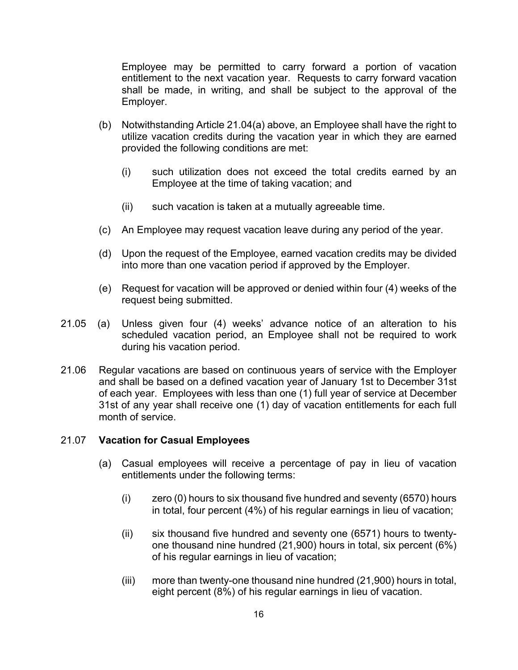Employee may be permitted to carry forward a portion of vacation entitlement to the next vacation year. Requests to carry forward vacation shall be made, in writing, and shall be subject to the approval of the Employer.

- (b) Notwithstanding Article 21.04(a) above, an Employee shall have the right to utilize vacation credits during the vacation year in which they are earned provided the following conditions are met:
	- (i) such utilization does not exceed the total credits earned by an Employee at the time of taking vacation; and
	- (ii) such vacation is taken at a mutually agreeable time.
- (c) An Employee may request vacation leave during any period of the year.
- (d) Upon the request of the Employee, earned vacation credits may be divided into more than one vacation period if approved by the Employer.
- (e) Request for vacation will be approved or denied within four (4) weeks of the request being submitted.
- 21.05 (a) Unless given four (4) weeks' advance notice of an alteration to his scheduled vacation period, an Employee shall not be required to work during his vacation period.
- 21.06 Regular vacations are based on continuous years of service with the Employer and shall be based on a defined vacation year of January 1st to December 31st of each year. Employees with less than one (1) full year of service at December 31st of any year shall receive one (1) day of vacation entitlements for each full month of service.

## 21.07 **Vacation for Casual Employees**

- (a) Casual employees will receive a percentage of pay in lieu of vacation entitlements under the following terms:
	- (i) zero (0) hours to six thousand five hundred and seventy (6570) hours in total, four percent (4%) of his regular earnings in lieu of vacation;
	- (ii) six thousand five hundred and seventy one (6571) hours to twentyone thousand nine hundred (21,900) hours in total, six percent (6%) of his regular earnings in lieu of vacation;
	- (iii) more than twenty-one thousand nine hundred (21,900) hours in total, eight percent (8%) of his regular earnings in lieu of vacation.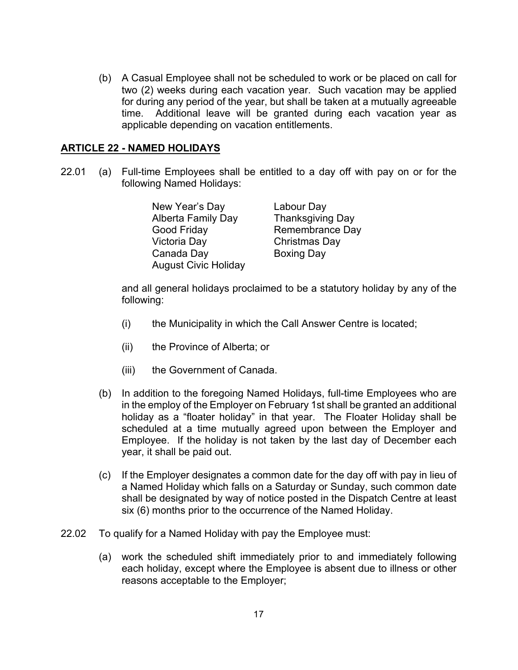(b) A Casual Employee shall not be scheduled to work or be placed on call for two (2) weeks during each vacation year. Such vacation may be applied for during any period of the year, but shall be taken at a mutually agreeable time. Additional leave will be granted during each vacation year as applicable depending on vacation entitlements.

#### **ARTICLE 22 - NAMED HOLIDAYS**

22.01 (a) Full-time Employees shall be entitled to a day off with pay on or for the following Named Holidays:

| New Year's Day              | Labour Day              |
|-----------------------------|-------------------------|
| <b>Alberta Family Day</b>   | <b>Thanksgiving Day</b> |
| Good Friday                 | Remembrance Day         |
| Victoria Day                | Christmas Day           |
| Canada Day                  | <b>Boxing Day</b>       |
| <b>August Civic Holiday</b> |                         |

and all general holidays proclaimed to be a statutory holiday by any of the following:

- (i) the Municipality in which the Call Answer Centre is located;
- (ii) the Province of Alberta; or
- (iii) the Government of Canada.
- (b) In addition to the foregoing Named Holidays, full-time Employees who are in the employ of the Employer on February 1st shall be granted an additional holiday as a "floater holiday" in that year. The Floater Holiday shall be scheduled at a time mutually agreed upon between the Employer and Employee. If the holiday is not taken by the last day of December each year, it shall be paid out.
- (c) If the Employer designates a common date for the day off with pay in lieu of a Named Holiday which falls on a Saturday or Sunday, such common date shall be designated by way of notice posted in the Dispatch Centre at least six (6) months prior to the occurrence of the Named Holiday.
- 22.02 To qualify for a Named Holiday with pay the Employee must:
	- (a) work the scheduled shift immediately prior to and immediately following each holiday, except where the Employee is absent due to illness or other reasons acceptable to the Employer;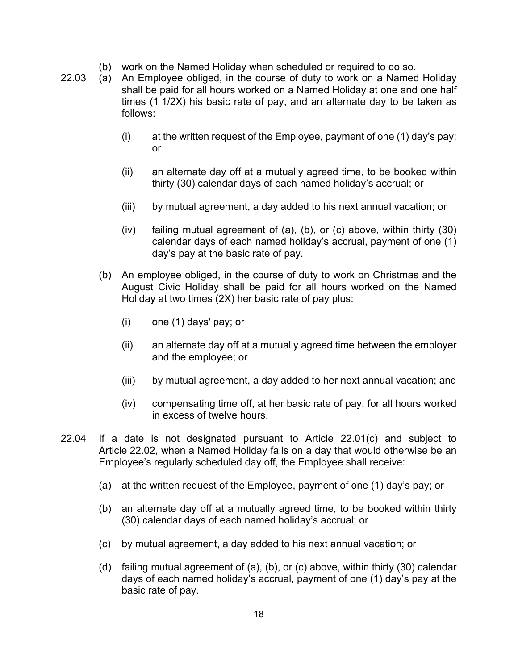- (b) work on the Named Holiday when scheduled or required to do so.
- 22.03 (a) An Employee obliged, in the course of duty to work on a Named Holiday shall be paid for all hours worked on a Named Holiday at one and one half times (1 1/2X) his basic rate of pay, and an alternate day to be taken as follows:
	- (i) at the written request of the Employee, payment of one (1) day's pay; or
	- (ii) an alternate day off at a mutually agreed time, to be booked within thirty (30) calendar days of each named holiday's accrual; or
	- (iii) by mutual agreement, a day added to his next annual vacation; or
	- (iv) failing mutual agreement of (a), (b), or (c) above, within thirty (30) calendar days of each named holiday's accrual, payment of one (1) day's pay at the basic rate of pay.
	- (b) An employee obliged, in the course of duty to work on Christmas and the August Civic Holiday shall be paid for all hours worked on the Named Holiday at two times (2X) her basic rate of pay plus:
		- (i) one (1) days' pay; or
		- (ii) an alternate day off at a mutually agreed time between the employer and the employee; or
		- (iii) by mutual agreement, a day added to her next annual vacation; and
		- (iv) compensating time off, at her basic rate of pay, for all hours worked in excess of twelve hours.
- 22.04 If a date is not designated pursuant to Article 22.01(c) and subject to Article 22.02, when a Named Holiday falls on a day that would otherwise be an Employee's regularly scheduled day off, the Employee shall receive:
	- (a) at the written request of the Employee, payment of one (1) day's pay; or
	- (b) an alternate day off at a mutually agreed time, to be booked within thirty (30) calendar days of each named holiday's accrual; or
	- (c) by mutual agreement, a day added to his next annual vacation; or
	- (d) failing mutual agreement of (a), (b), or (c) above, within thirty (30) calendar days of each named holiday's accrual, payment of one (1) day's pay at the basic rate of pay.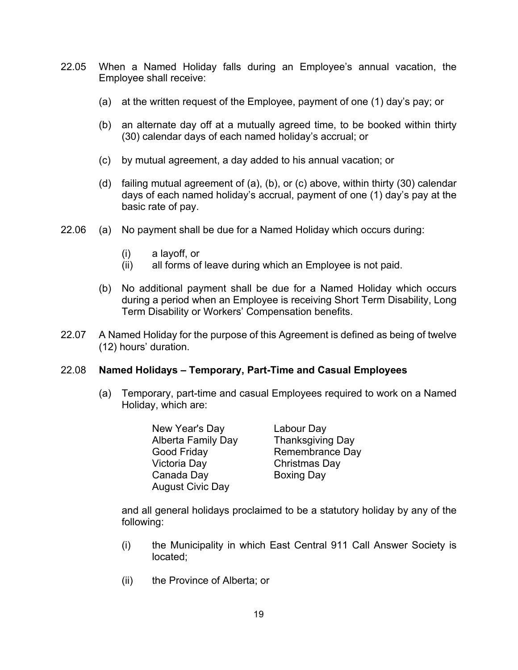- 22.05 When a Named Holiday falls during an Employee's annual vacation, the Employee shall receive:
	- (a) at the written request of the Employee, payment of one (1) day's pay; or
	- (b) an alternate day off at a mutually agreed time, to be booked within thirty (30) calendar days of each named holiday's accrual; or
	- (c) by mutual agreement, a day added to his annual vacation; or
	- (d) failing mutual agreement of (a), (b), or (c) above, within thirty (30) calendar days of each named holiday's accrual, payment of one (1) day's pay at the basic rate of pay.
- 22.06 (a) No payment shall be due for a Named Holiday which occurs during:
	- (i) a layoff, or
	- (ii) all forms of leave during which an Employee is not paid.
	- (b) No additional payment shall be due for a Named Holiday which occurs during a period when an Employee is receiving Short Term Disability, Long Term Disability or Workers' Compensation benefits.
- 22.07 A Named Holiday for the purpose of this Agreement is defined as being of twelve (12) hours' duration.

#### 22.08 **Named Holidays – Temporary, Part-Time and Casual Employees**

- (a) Temporary, part-time and casual Employees required to work on a Named Holiday, which are:
	- New Year's Day Labour Day Alberta Family Day Thanksgiving Day Good Friday Remembrance Day Victoria Day Christmas Day Canada Day Boxing Day August Civic Day

and all general holidays proclaimed to be a statutory holiday by any of the following:

- (i) the Municipality in which East Central 911 Call Answer Society is located;
- (ii) the Province of Alberta; or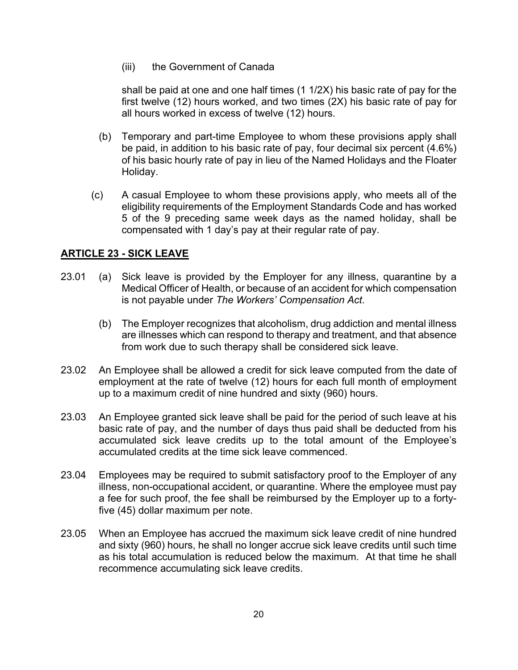(iii) the Government of Canada

shall be paid at one and one half times (1 1/2X) his basic rate of pay for the first twelve (12) hours worked, and two times (2X) his basic rate of pay for all hours worked in excess of twelve (12) hours.

- (b) Temporary and part-time Employee to whom these provisions apply shall be paid, in addition to his basic rate of pay, four decimal six percent (4.6%) of his basic hourly rate of pay in lieu of the Named Holidays and the Floater Holiday.
- (c) A casual Employee to whom these provisions apply, who meets all of the eligibility requirements of the Employment Standards Code and has worked 5 of the 9 preceding same week days as the named holiday, shall be compensated with 1 day's pay at their regular rate of pay.

## **ARTICLE 23 - SICK LEAVE**

- 23.01 (a) Sick leave is provided by the Employer for any illness, quarantine by a Medical Officer of Health, or because of an accident for which compensation is not payable under *The Workers' Compensation Act*.
	- (b) The Employer recognizes that alcoholism, drug addiction and mental illness are illnesses which can respond to therapy and treatment, and that absence from work due to such therapy shall be considered sick leave.
- 23.02 An Employee shall be allowed a credit for sick leave computed from the date of employment at the rate of twelve (12) hours for each full month of employment up to a maximum credit of nine hundred and sixty (960) hours.
- 23.03 An Employee granted sick leave shall be paid for the period of such leave at his basic rate of pay, and the number of days thus paid shall be deducted from his accumulated sick leave credits up to the total amount of the Employee's accumulated credits at the time sick leave commenced.
- 23.04 Employees may be required to submit satisfactory proof to the Employer of any illness, non-occupational accident, or quarantine. Where the employee must pay a fee for such proof, the fee shall be reimbursed by the Employer up to a fortyfive (45) dollar maximum per note.
- 23.05 When an Employee has accrued the maximum sick leave credit of nine hundred and sixty (960) hours, he shall no longer accrue sick leave credits until such time as his total accumulation is reduced below the maximum. At that time he shall recommence accumulating sick leave credits.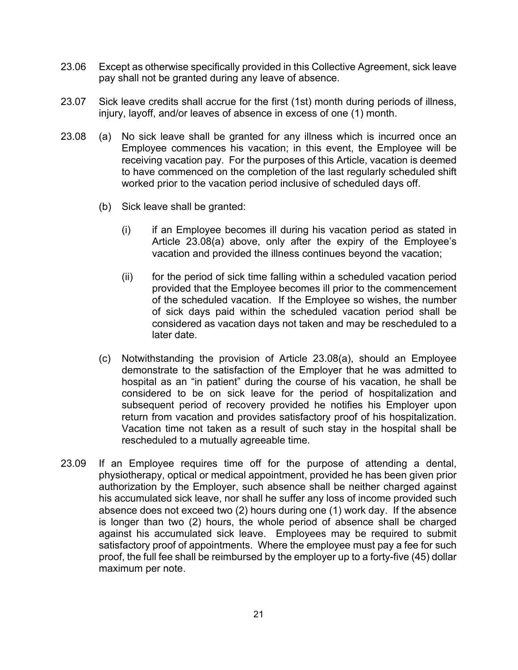- 23.06 Except as otherwise specifically provided in this Collective Agreement, sick leave pay shall not be granted during any leave of absence.
- 23.07 Sick leave credits shall accrue for the first (1st) month during periods of illness, injury, layoff, and/or leaves of absence in excess of one (1) month.
- 23.08 (a) No sick leave shall be granted for any illness which is incurred once an Employee commences his vacation; in this event, the Employee will be receiving vacation pay. For the purposes of this Article, vacation is deemed to have commenced on the completion of the last regularly scheduled shift worked prior to the vacation period inclusive of scheduled days off.
	- (b) Sick leave shall be granted:
		- (i) if an Employee becomes ill during his vacation period as stated in Article 23.08(a) above, only after the expiry of the Employee's vacation and provided the illness continues beyond the vacation;
		- (ii) for the period of sick time falling within a scheduled vacation period provided that the Employee becomes ill prior to the commencement of the scheduled vacation. If the Employee so wishes, the number of sick days paid within the scheduled vacation period shall be considered as vacation days not taken and may be rescheduled to a later date.
	- (c) Notwithstanding the provision of Article 23.08(a), should an Employee demonstrate to the satisfaction of the Employer that he was admitted to hospital as an "in patient" during the course of his vacation, he shall be considered to be on sick leave for the period of hospitalization and subsequent period of recovery provided he notifies his Employer upon return from vacation and provides satisfactory proof of his hospitalization. Vacation time not taken as a result of such stay in the hospital shall be rescheduled to a mutually agreeable time.
- 23.09 If an Employee requires time off for the purpose of attending a dental, physiotherapy, optical or medical appointment, provided he has been given prior authorization by the Employer, such absence shall be neither charged against his accumulated sick leave, nor shall he suffer any loss of income provided such absence does not exceed two (2) hours during one (1) work day. If the absence is longer than two (2) hours, the whole period of absence shall be charged against his accumulated sick leave. Employees may be required to submit satisfactory proof of appointments. Where the employee must pay a fee for such proof, the full fee shall be reimbursed by the employer up to a forty-five (45) dollar maximum per note.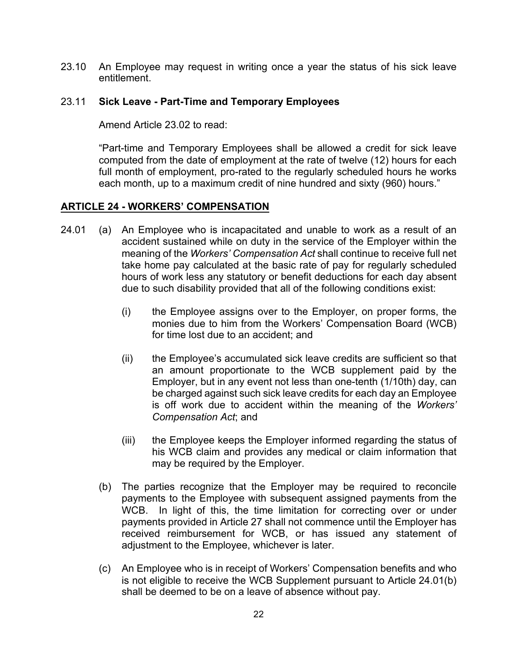23.10 An Employee may request in writing once a year the status of his sick leave entitlement.

#### 23.11 **Sick Leave - Part-Time and Temporary Employees**

Amend Article 23.02 to read:

"Part-time and Temporary Employees shall be allowed a credit for sick leave computed from the date of employment at the rate of twelve (12) hours for each full month of employment, pro-rated to the regularly scheduled hours he works each month, up to a maximum credit of nine hundred and sixty (960) hours."

## **ARTICLE 24 - WORKERS' COMPENSATION**

- 24.01 (a) An Employee who is incapacitated and unable to work as a result of an accident sustained while on duty in the service of the Employer within the meaning of the *Workers' Compensation Act* shall continue to receive full net take home pay calculated at the basic rate of pay for regularly scheduled hours of work less any statutory or benefit deductions for each day absent due to such disability provided that all of the following conditions exist:
	- (i) the Employee assigns over to the Employer, on proper forms, the monies due to him from the Workers' Compensation Board (WCB) for time lost due to an accident; and
	- (ii) the Employee's accumulated sick leave credits are sufficient so that an amount proportionate to the WCB supplement paid by the Employer, but in any event not less than one-tenth (1/10th) day, can be charged against such sick leave credits for each day an Employee is off work due to accident within the meaning of the *Workers' Compensation Act*; and
	- (iii) the Employee keeps the Employer informed regarding the status of his WCB claim and provides any medical or claim information that may be required by the Employer.
	- (b) The parties recognize that the Employer may be required to reconcile payments to the Employee with subsequent assigned payments from the WCB. In light of this, the time limitation for correcting over or under payments provided in Article 27 shall not commence until the Employer has received reimbursement for WCB, or has issued any statement of adjustment to the Employee, whichever is later.
	- (c) An Employee who is in receipt of Workers' Compensation benefits and who is not eligible to receive the WCB Supplement pursuant to Article 24.01(b) shall be deemed to be on a leave of absence without pay.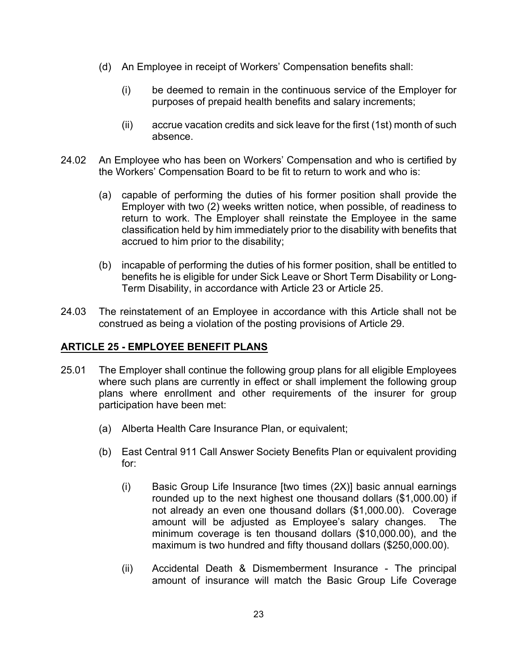- (d) An Employee in receipt of Workers' Compensation benefits shall:
	- (i) be deemed to remain in the continuous service of the Employer for purposes of prepaid health benefits and salary increments;
	- (ii) accrue vacation credits and sick leave for the first (1st) month of such absence.
- 24.02 An Employee who has been on Workers' Compensation and who is certified by the Workers' Compensation Board to be fit to return to work and who is:
	- (a) capable of performing the duties of his former position shall provide the Employer with two (2) weeks written notice, when possible, of readiness to return to work. The Employer shall reinstate the Employee in the same classification held by him immediately prior to the disability with benefits that accrued to him prior to the disability;
	- (b) incapable of performing the duties of his former position, shall be entitled to benefits he is eligible for under Sick Leave or Short Term Disability or Long-Term Disability, in accordance with Article 23 or Article 25.
- 24.03 The reinstatement of an Employee in accordance with this Article shall not be construed as being a violation of the posting provisions of Article 29.

## **ARTICLE 25 - EMPLOYEE BENEFIT PLANS**

- 25.01 The Employer shall continue the following group plans for all eligible Employees where such plans are currently in effect or shall implement the following group plans where enrollment and other requirements of the insurer for group participation have been met:
	- (a) Alberta Health Care Insurance Plan, or equivalent;
	- (b) East Central 911 Call Answer Society Benefits Plan or equivalent providing for:
		- (i) Basic Group Life Insurance [two times (2X)] basic annual earnings rounded up to the next highest one thousand dollars (\$1,000.00) if not already an even one thousand dollars (\$1,000.00). Coverage amount will be adjusted as Employee's salary changes. The minimum coverage is ten thousand dollars (\$10,000.00), and the maximum is two hundred and fifty thousand dollars (\$250,000.00).
		- (ii) Accidental Death & Dismemberment Insurance The principal amount of insurance will match the Basic Group Life Coverage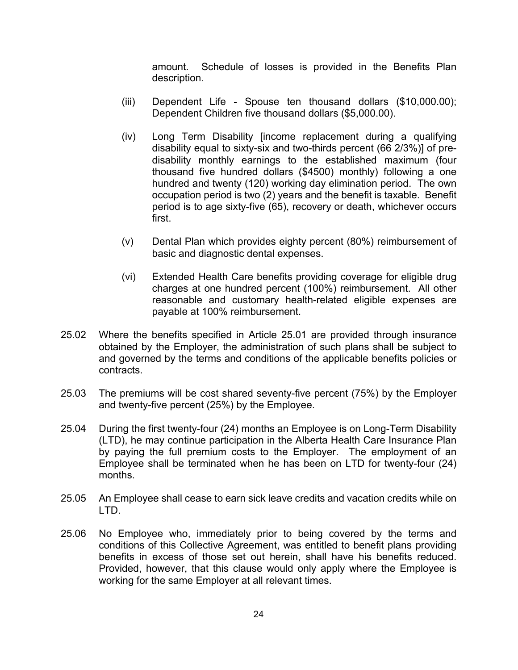amount. Schedule of losses is provided in the Benefits Plan description.

- (iii) Dependent Life Spouse ten thousand dollars (\$10,000.00); Dependent Children five thousand dollars (\$5,000.00).
- (iv) Long Term Disability [income replacement during a qualifying disability equal to sixty-six and two-thirds percent (66 2/3%)] of predisability monthly earnings to the established maximum (four thousand five hundred dollars (\$4500) monthly) following a one hundred and twenty (120) working day elimination period. The own occupation period is two (2) years and the benefit is taxable. Benefit period is to age sixty-five (65), recovery or death, whichever occurs first.
- (v) Dental Plan which provides eighty percent (80%) reimbursement of basic and diagnostic dental expenses.
- (vi) Extended Health Care benefits providing coverage for eligible drug charges at one hundred percent (100%) reimbursement. All other reasonable and customary health-related eligible expenses are payable at 100% reimbursement.
- 25.02 Where the benefits specified in Article 25.01 are provided through insurance obtained by the Employer, the administration of such plans shall be subject to and governed by the terms and conditions of the applicable benefits policies or contracts.
- 25.03 The premiums will be cost shared seventy-five percent (75%) by the Employer and twenty-five percent (25%) by the Employee.
- 25.04 During the first twenty-four (24) months an Employee is on Long-Term Disability (LTD), he may continue participation in the Alberta Health Care Insurance Plan by paying the full premium costs to the Employer. The employment of an Employee shall be terminated when he has been on LTD for twenty-four (24) months.
- 25.05 An Employee shall cease to earn sick leave credits and vacation credits while on LTD.
- 25.06 No Employee who, immediately prior to being covered by the terms and conditions of this Collective Agreement, was entitled to benefit plans providing benefits in excess of those set out herein, shall have his benefits reduced. Provided, however, that this clause would only apply where the Employee is working for the same Employer at all relevant times.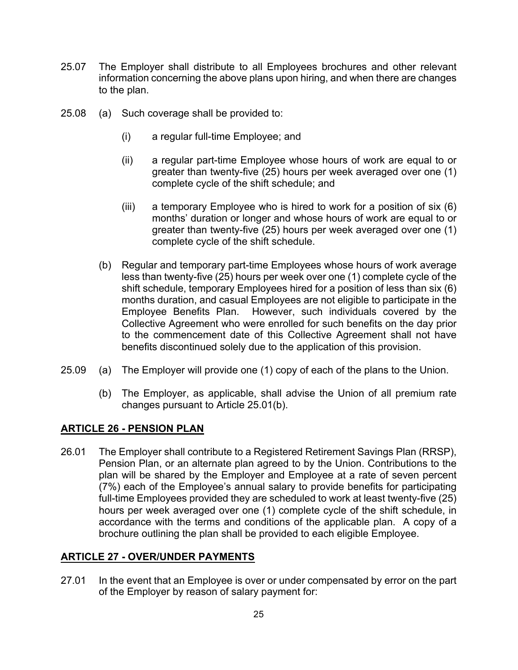- 25.07 The Employer shall distribute to all Employees brochures and other relevant information concerning the above plans upon hiring, and when there are changes to the plan.
- 25.08 (a) Such coverage shall be provided to:
	- (i) a regular full-time Employee; and
	- (ii) a regular part-time Employee whose hours of work are equal to or greater than twenty-five (25) hours per week averaged over one (1) complete cycle of the shift schedule; and
	- (iii) a temporary Employee who is hired to work for a position of six (6) months' duration or longer and whose hours of work are equal to or greater than twenty-five (25) hours per week averaged over one (1) complete cycle of the shift schedule.
	- (b) Regular and temporary part-time Employees whose hours of work average less than twenty-five (25) hours per week over one (1) complete cycle of the shift schedule, temporary Employees hired for a position of less than six (6) months duration, and casual Employees are not eligible to participate in the Employee Benefits Plan. However, such individuals covered by the Collective Agreement who were enrolled for such benefits on the day prior to the commencement date of this Collective Agreement shall not have benefits discontinued solely due to the application of this provision.
- 25.09 (a) The Employer will provide one (1) copy of each of the plans to the Union.
	- (b) The Employer, as applicable, shall advise the Union of all premium rate changes pursuant to Article 25.01(b).

## **ARTICLE 26 - PENSION PLAN**

26.01 The Employer shall contribute to a Registered Retirement Savings Plan (RRSP), Pension Plan, or an alternate plan agreed to by the Union. Contributions to the plan will be shared by the Employer and Employee at a rate of seven percent (7%) each of the Employee's annual salary to provide benefits for participating full-time Employees provided they are scheduled to work at least twenty-five (25) hours per week averaged over one (1) complete cycle of the shift schedule, in accordance with the terms and conditions of the applicable plan. A copy of a brochure outlining the plan shall be provided to each eligible Employee.

## **ARTICLE 27 - OVER/UNDER PAYMENTS**

27.01 In the event that an Employee is over or under compensated by error on the part of the Employer by reason of salary payment for: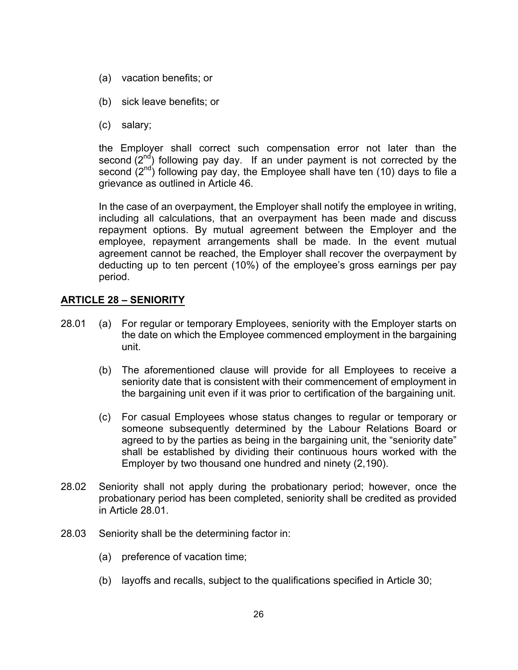- (a) vacation benefits; or
- (b) sick leave benefits; or
- (c) salary;

the Employer shall correct such compensation error not later than the second  $(2^{nd})$  following pay day. If an under payment is not corrected by the second  $(2^{nd})$  following pay day, the Employee shall have ten (10) days to file a grievance as outlined in Article 46.

In the case of an overpayment, the Employer shall notify the employee in writing, including all calculations, that an overpayment has been made and discuss repayment options. By mutual agreement between the Employer and the employee, repayment arrangements shall be made. In the event mutual agreement cannot be reached, the Employer shall recover the overpayment by deducting up to ten percent (10%) of the employee's gross earnings per pay period.

## **ARTICLE 28 – SENIORITY**

- 28.01 (a) For regular or temporary Employees, seniority with the Employer starts on the date on which the Employee commenced employment in the bargaining unit.
	- (b) The aforementioned clause will provide for all Employees to receive a seniority date that is consistent with their commencement of employment in the bargaining unit even if it was prior to certification of the bargaining unit.
	- (c) For casual Employees whose status changes to regular or temporary or someone subsequently determined by the Labour Relations Board or agreed to by the parties as being in the bargaining unit, the "seniority date" shall be established by dividing their continuous hours worked with the Employer by two thousand one hundred and ninety (2,190).
- 28.02 Seniority shall not apply during the probationary period; however, once the probationary period has been completed, seniority shall be credited as provided in Article 28.01.
- 28.03 Seniority shall be the determining factor in:
	- (a) preference of vacation time;
	- (b) layoffs and recalls, subject to the qualifications specified in Article 30;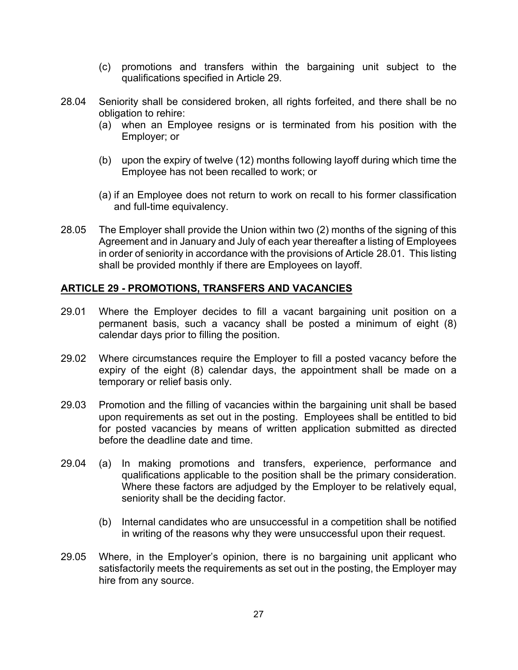- (c) promotions and transfers within the bargaining unit subject to the qualifications specified in Article 29.
- 28.04 Seniority shall be considered broken, all rights forfeited, and there shall be no obligation to rehire:
	- (a) when an Employee resigns or is terminated from his position with the Employer; or
	- (b) upon the expiry of twelve (12) months following layoff during which time the Employee has not been recalled to work; or
	- (a) if an Employee does not return to work on recall to his former classification and full-time equivalency.
- 28.05 The Employer shall provide the Union within two (2) months of the signing of this Agreement and in January and July of each year thereafter a listing of Employees in order of seniority in accordance with the provisions of Article 28.01. This listing shall be provided monthly if there are Employees on layoff.

## **ARTICLE 29 - PROMOTIONS, TRANSFERS AND VACANCIES**

- 29.01 Where the Employer decides to fill a vacant bargaining unit position on a permanent basis, such a vacancy shall be posted a minimum of eight (8) calendar days prior to filling the position.
- 29.02 Where circumstances require the Employer to fill a posted vacancy before the expiry of the eight (8) calendar days, the appointment shall be made on a temporary or relief basis only.
- 29.03 Promotion and the filling of vacancies within the bargaining unit shall be based upon requirements as set out in the posting. Employees shall be entitled to bid for posted vacancies by means of written application submitted as directed before the deadline date and time.
- 29.04 (a) In making promotions and transfers, experience, performance and qualifications applicable to the position shall be the primary consideration. Where these factors are adjudged by the Employer to be relatively equal, seniority shall be the deciding factor.
	- (b) Internal candidates who are unsuccessful in a competition shall be notified in writing of the reasons why they were unsuccessful upon their request.
- 29.05 Where, in the Employer's opinion, there is no bargaining unit applicant who satisfactorily meets the requirements as set out in the posting, the Employer may hire from any source.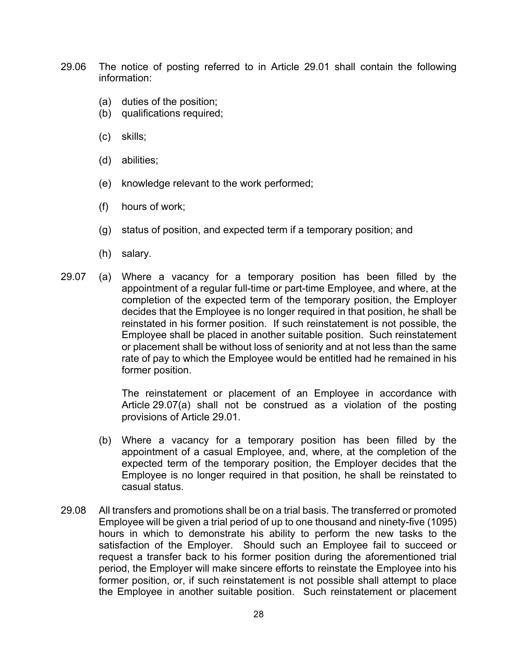- 29.06 The notice of posting referred to in Article 29.01 shall contain the following information:
	- (a) duties of the position;
	- (b) qualifications required;
	- (c) skills;
	- (d) abilities;
	- (e) knowledge relevant to the work performed;
	- (f) hours of work;
	- (g) status of position, and expected term if a temporary position; and
	- (h) salary.
- 29.07 (a) Where a vacancy for a temporary position has been filled by the appointment of a regular full-time or part-time Employee, and where, at the completion of the expected term of the temporary position, the Employer decides that the Employee is no longer required in that position, he shall be reinstated in his former position. If such reinstatement is not possible, the Employee shall be placed in another suitable position. Such reinstatement or placement shall be without loss of seniority and at not less than the same rate of pay to which the Employee would be entitled had he remained in his former position.

The reinstatement or placement of an Employee in accordance with Article 29.07(a) shall not be construed as a violation of the posting provisions of Article 29.01.

- (b) Where a vacancy for a temporary position has been filled by the appointment of a casual Employee, and, where, at the completion of the expected term of the temporary position, the Employer decides that the Employee is no longer required in that position, he shall be reinstated to casual status.
- 29.08 All transfers and promotions shall be on a trial basis. The transferred or promoted Employee will be given a trial period of up to one thousand and ninety-five (1095) hours in which to demonstrate his ability to perform the new tasks to the satisfaction of the Employer. Should such an Employee fail to succeed or request a transfer back to his former position during the aforementioned trial period, the Employer will make sincere efforts to reinstate the Employee into his former position, or, if such reinstatement is not possible shall attempt to place the Employee in another suitable position. Such reinstatement or placement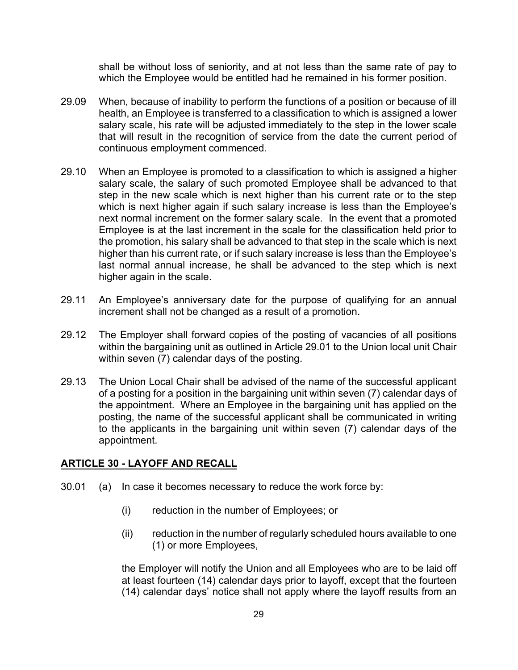shall be without loss of seniority, and at not less than the same rate of pay to which the Employee would be entitled had he remained in his former position.

- 29.09 When, because of inability to perform the functions of a position or because of ill health, an Employee is transferred to a classification to which is assigned a lower salary scale, his rate will be adjusted immediately to the step in the lower scale that will result in the recognition of service from the date the current period of continuous employment commenced.
- 29.10 When an Employee is promoted to a classification to which is assigned a higher salary scale, the salary of such promoted Employee shall be advanced to that step in the new scale which is next higher than his current rate or to the step which is next higher again if such salary increase is less than the Employee's next normal increment on the former salary scale. In the event that a promoted Employee is at the last increment in the scale for the classification held prior to the promotion, his salary shall be advanced to that step in the scale which is next higher than his current rate, or if such salary increase is less than the Employee's last normal annual increase, he shall be advanced to the step which is next higher again in the scale.
- 29.11 An Employee's anniversary date for the purpose of qualifying for an annual increment shall not be changed as a result of a promotion.
- 29.12 The Employer shall forward copies of the posting of vacancies of all positions within the bargaining unit as outlined in Article 29.01 to the Union local unit Chair within seven (7) calendar days of the posting.
- 29.13 The Union Local Chair shall be advised of the name of the successful applicant of a posting for a position in the bargaining unit within seven (7) calendar days of the appointment. Where an Employee in the bargaining unit has applied on the posting, the name of the successful applicant shall be communicated in writing to the applicants in the bargaining unit within seven (7) calendar days of the appointment.

## **ARTICLE 30 - LAYOFF AND RECALL**

- 30.01 (a) In case it becomes necessary to reduce the work force by:
	- (i) reduction in the number of Employees; or
	- (ii) reduction in the number of regularly scheduled hours available to one (1) or more Employees,

the Employer will notify the Union and all Employees who are to be laid off at least fourteen (14) calendar days prior to layoff, except that the fourteen (14) calendar days' notice shall not apply where the layoff results from an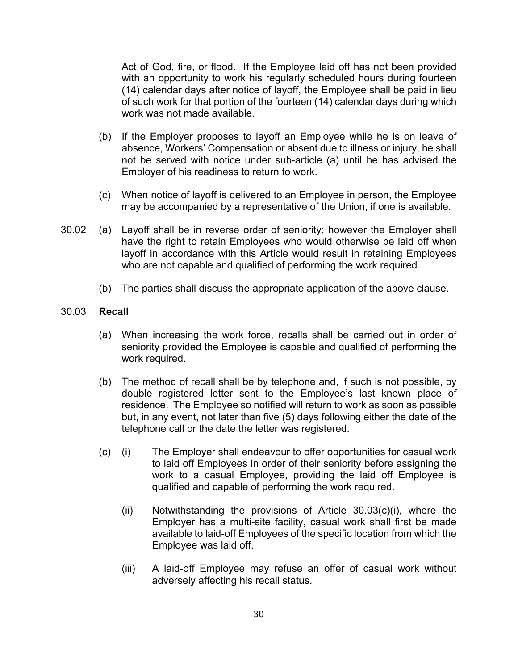Act of God, fire, or flood. If the Employee laid off has not been provided with an opportunity to work his regularly scheduled hours during fourteen (14) calendar days after notice of layoff, the Employee shall be paid in lieu of such work for that portion of the fourteen (14) calendar days during which work was not made available.

- (b) If the Employer proposes to layoff an Employee while he is on leave of absence, Workers' Compensation or absent due to illness or injury, he shall not be served with notice under sub-article (a) until he has advised the Employer of his readiness to return to work.
- (c) When notice of layoff is delivered to an Employee in person, the Employee may be accompanied by a representative of the Union, if one is available.
- 30.02 (a) Layoff shall be in reverse order of seniority; however the Employer shall have the right to retain Employees who would otherwise be laid off when layoff in accordance with this Article would result in retaining Employees who are not capable and qualified of performing the work required.
	- (b) The parties shall discuss the appropriate application of the above clause.

#### 30.03 **Recall**

- (a) When increasing the work force, recalls shall be carried out in order of seniority provided the Employee is capable and qualified of performing the work required.
- (b) The method of recall shall be by telephone and, if such is not possible, by double registered letter sent to the Employee's last known place of residence. The Employee so notified will return to work as soon as possible but, in any event, not later than five (5) days following either the date of the telephone call or the date the letter was registered.
- (c) (i) The Employer shall endeavour to offer opportunities for casual work to laid off Employees in order of their seniority before assigning the work to a casual Employee, providing the laid off Employee is qualified and capable of performing the work required.
	- (ii) Notwithstanding the provisions of Article 30.03(c)(i), where the Employer has a multi-site facility, casual work shall first be made available to laid-off Employees of the specific location from which the Employee was laid off.
	- (iii) A laid-off Employee may refuse an offer of casual work without adversely affecting his recall status.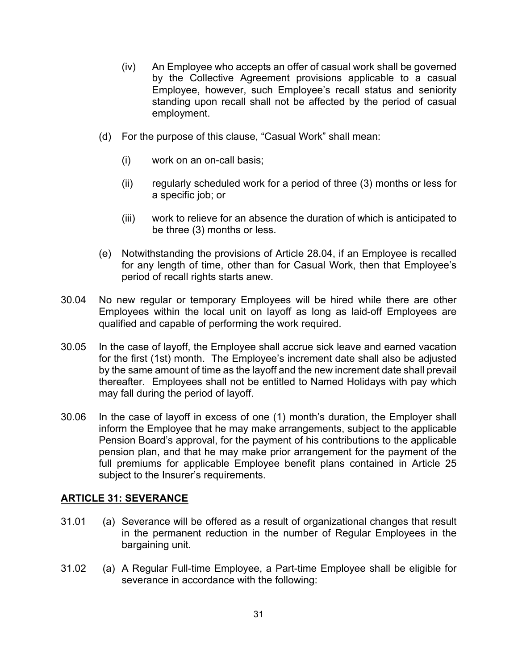- (iv) An Employee who accepts an offer of casual work shall be governed by the Collective Agreement provisions applicable to a casual Employee, however, such Employee's recall status and seniority standing upon recall shall not be affected by the period of casual employment.
- (d) For the purpose of this clause, "Casual Work" shall mean:
	- (i) work on an on-call basis;
	- (ii) regularly scheduled work for a period of three (3) months or less for a specific job; or
	- (iii) work to relieve for an absence the duration of which is anticipated to be three (3) months or less.
- (e) Notwithstanding the provisions of Article 28.04, if an Employee is recalled for any length of time, other than for Casual Work, then that Employee's period of recall rights starts anew.
- 30.04 No new regular or temporary Employees will be hired while there are other Employees within the local unit on layoff as long as laid-off Employees are qualified and capable of performing the work required.
- 30.05 In the case of layoff, the Employee shall accrue sick leave and earned vacation for the first (1st) month. The Employee's increment date shall also be adjusted by the same amount of time as the layoff and the new increment date shall prevail thereafter. Employees shall not be entitled to Named Holidays with pay which may fall during the period of layoff.
- 30.06 In the case of layoff in excess of one (1) month's duration, the Employer shall inform the Employee that he may make arrangements, subject to the applicable Pension Board's approval, for the payment of his contributions to the applicable pension plan, and that he may make prior arrangement for the payment of the full premiums for applicable Employee benefit plans contained in Article 25 subject to the Insurer's requirements.

## **ARTICLE 31: SEVERANCE**

- 31.01 (a) Severance will be offered as a result of organizational changes that result in the permanent reduction in the number of Regular Employees in the bargaining unit.
- 31.02 (a) A Regular Full-time Employee, a Part-time Employee shall be eligible for severance in accordance with the following: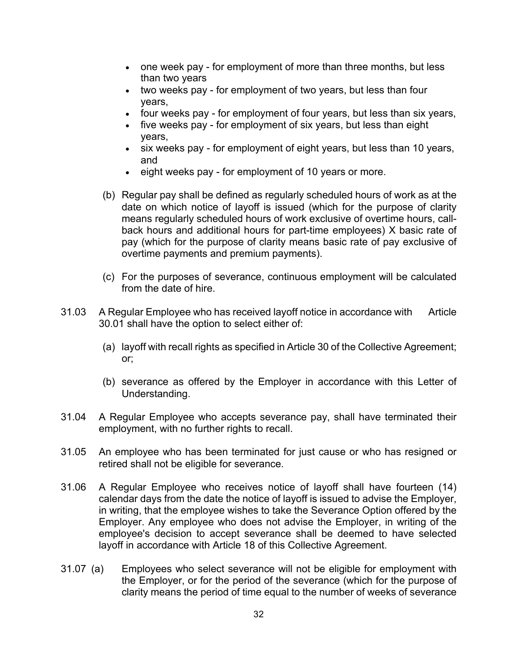- one week pay for employment of more than three months, but less than two years
- two weeks pay for employment of two years, but less than four years,
- four weeks pay for employment of four years, but less than six years,
- five weeks pay for employment of six years, but less than eight years,
- six weeks pay for employment of eight years, but less than 10 years, and
- eight weeks pay for employment of 10 years or more.
- (b) Regular pay shall be defined as regularly scheduled hours of work as at the date on which notice of layoff is issued (which for the purpose of clarity means regularly scheduled hours of work exclusive of overtime hours, callback hours and additional hours for part-time employees) X basic rate of pay (which for the purpose of clarity means basic rate of pay exclusive of overtime payments and premium payments).
- (c) For the purposes of severance, continuous employment will be calculated from the date of hire.
- 31.03 A Regular Employee who has received layoff notice in accordance with Article 30.01 shall have the option to select either of:
	- (a) layoff with recall rights as specified in Article 30 of the Collective Agreement; or;
	- (b) severance as offered by the Employer in accordance with this Letter of Understanding.
- 31.04 A Regular Employee who accepts severance pay, shall have terminated their employment, with no further rights to recall.
- 31.05 An employee who has been terminated for just cause or who has resigned or retired shall not be eligible for severance.
- 31.06 A Regular Employee who receives notice of layoff shall have fourteen (14) calendar days from the date the notice of layoff is issued to advise the Employer, in writing, that the employee wishes to take the Severance Option offered by the Employer. Any employee who does not advise the Employer, in writing of the employee's decision to accept severance shall be deemed to have selected layoff in accordance with Article 18 of this Collective Agreement.
- 31.07 (a) Employees who select severance will not be eligible for employment with the Employer, or for the period of the severance (which for the purpose of clarity means the period of time equal to the number of weeks of severance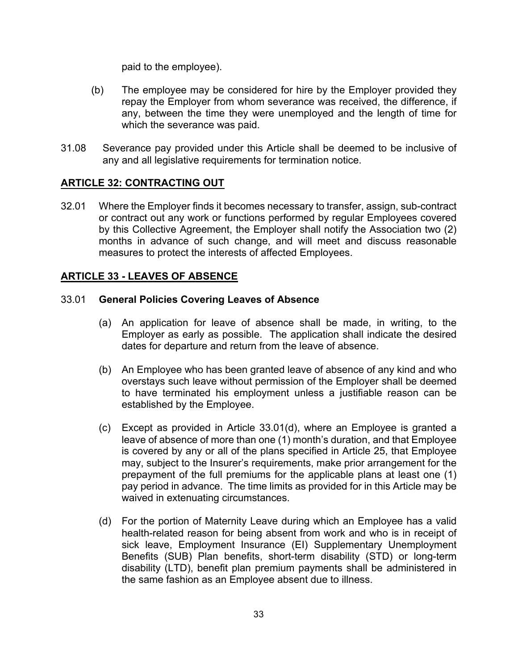paid to the employee).

- (b) The employee may be considered for hire by the Employer provided they repay the Employer from whom severance was received, the difference, if any, between the time they were unemployed and the length of time for which the severance was paid.
- 31.08 Severance pay provided under this Article shall be deemed to be inclusive of any and all legislative requirements for termination notice.

## **ARTICLE 32: CONTRACTING OUT**

32.01 Where the Employer finds it becomes necessary to transfer, assign, sub-contract or contract out any work or functions performed by regular Employees covered by this Collective Agreement, the Employer shall notify the Association two (2) months in advance of such change, and will meet and discuss reasonable measures to protect the interests of affected Employees.

## **ARTICLE 33 - LEAVES OF ABSENCE**

## 33.01 **General Policies Covering Leaves of Absence**

- (a) An application for leave of absence shall be made, in writing, to the Employer as early as possible. The application shall indicate the desired dates for departure and return from the leave of absence.
- (b) An Employee who has been granted leave of absence of any kind and who overstays such leave without permission of the Employer shall be deemed to have terminated his employment unless a justifiable reason can be established by the Employee.
- (c) Except as provided in Article 33.01(d), where an Employee is granted a leave of absence of more than one (1) month's duration, and that Employee is covered by any or all of the plans specified in Article 25, that Employee may, subject to the Insurer's requirements, make prior arrangement for the prepayment of the full premiums for the applicable plans at least one (1) pay period in advance. The time limits as provided for in this Article may be waived in extenuating circumstances.
- (d) For the portion of Maternity Leave during which an Employee has a valid health-related reason for being absent from work and who is in receipt of sick leave, Employment Insurance (EI) Supplementary Unemployment Benefits (SUB) Plan benefits, short-term disability (STD) or long-term disability (LTD), benefit plan premium payments shall be administered in the same fashion as an Employee absent due to illness.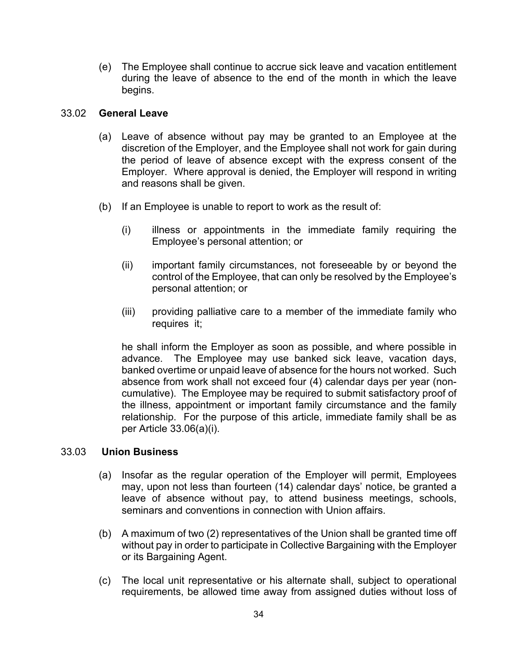(e) The Employee shall continue to accrue sick leave and vacation entitlement during the leave of absence to the end of the month in which the leave begins.

#### 33.02 **General Leave**

- (a) Leave of absence without pay may be granted to an Employee at the discretion of the Employer, and the Employee shall not work for gain during the period of leave of absence except with the express consent of the Employer. Where approval is denied, the Employer will respond in writing and reasons shall be given.
- (b) If an Employee is unable to report to work as the result of:
	- (i) illness or appointments in the immediate family requiring the Employee's personal attention; or
	- (ii) important family circumstances, not foreseeable by or beyond the control of the Employee, that can only be resolved by the Employee's personal attention; or
	- (iii) providing palliative care to a member of the immediate family who requires it;

he shall inform the Employer as soon as possible, and where possible in advance. The Employee may use banked sick leave, vacation days, banked overtime or unpaid leave of absence for the hours not worked. Such absence from work shall not exceed four (4) calendar days per year (noncumulative).The Employee may be required to submit satisfactory proof of the illness, appointment or important family circumstance and the family relationship. For the purpose of this article, immediate family shall be as per Article 33.06(a)(i).

#### 33.03 **Union Business**

- (a) Insofar as the regular operation of the Employer will permit, Employees may, upon not less than fourteen (14) calendar days' notice, be granted a leave of absence without pay, to attend business meetings, schools, seminars and conventions in connection with Union affairs.
- (b) A maximum of two (2) representatives of the Union shall be granted time off without pay in order to participate in Collective Bargaining with the Employer or its Bargaining Agent.
- (c) The local unit representative or his alternate shall, subject to operational requirements, be allowed time away from assigned duties without loss of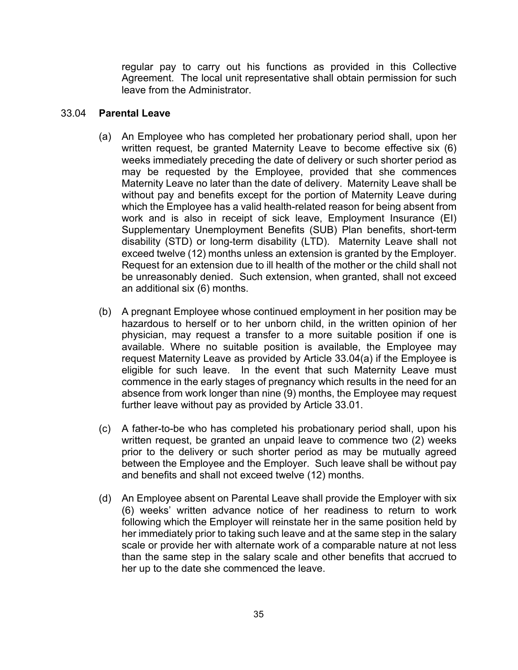regular pay to carry out his functions as provided in this Collective Agreement. The local unit representative shall obtain permission for such leave from the Administrator.

#### 33.04 **Parental Leave**

- (a) An Employee who has completed her probationary period shall, upon her written request, be granted Maternity Leave to become effective six (6) weeks immediately preceding the date of delivery or such shorter period as may be requested by the Employee, provided that she commences Maternity Leave no later than the date of delivery. Maternity Leave shall be without pay and benefits except for the portion of Maternity Leave during which the Employee has a valid health-related reason for being absent from work and is also in receipt of sick leave, Employment Insurance (EI) Supplementary Unemployment Benefits (SUB) Plan benefits, short-term disability (STD) or long-term disability (LTD). Maternity Leave shall not exceed twelve (12) months unless an extension is granted by the Employer. Request for an extension due to ill health of the mother or the child shall not be unreasonably denied. Such extension, when granted, shall not exceed an additional six (6) months.
- (b) A pregnant Employee whose continued employment in her position may be hazardous to herself or to her unborn child, in the written opinion of her physician, may request a transfer to a more suitable position if one is available. Where no suitable position is available, the Employee may request Maternity Leave as provided by Article 33.04(a) if the Employee is eligible for such leave. In the event that such Maternity Leave must commence in the early stages of pregnancy which results in the need for an absence from work longer than nine (9) months, the Employee may request further leave without pay as provided by Article 33.01.
- (c) A father-to-be who has completed his probationary period shall, upon his written request, be granted an unpaid leave to commence two (2) weeks prior to the delivery or such shorter period as may be mutually agreed between the Employee and the Employer. Such leave shall be without pay and benefits and shall not exceed twelve (12) months.
- (d) An Employee absent on Parental Leave shall provide the Employer with six (6) weeks' written advance notice of her readiness to return to work following which the Employer will reinstate her in the same position held by her immediately prior to taking such leave and at the same step in the salary scale or provide her with alternate work of a comparable nature at not less than the same step in the salary scale and other benefits that accrued to her up to the date she commenced the leave.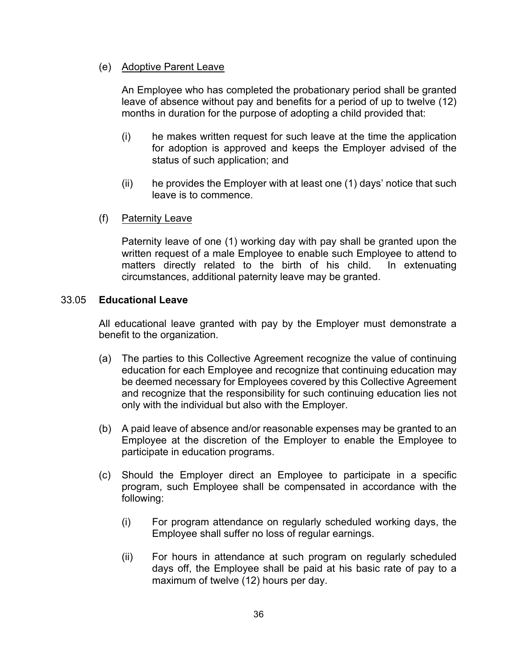### (e) Adoptive Parent Leave

An Employee who has completed the probationary period shall be granted leave of absence without pay and benefits for a period of up to twelve (12) months in duration for the purpose of adopting a child provided that:

- (i) he makes written request for such leave at the time the application for adoption is approved and keeps the Employer advised of the status of such application; and
- (ii) he provides the Employer with at least one (1) days' notice that such leave is to commence.
- (f) Paternity Leave

Paternity leave of one (1) working day with pay shall be granted upon the written request of a male Employee to enable such Employee to attend to matters directly related to the birth of his child. In extenuating circumstances, additional paternity leave may be granted.

## 33.05 **Educational Leave**

All educational leave granted with pay by the Employer must demonstrate a benefit to the organization.

- (a) The parties to this Collective Agreement recognize the value of continuing education for each Employee and recognize that continuing education may be deemed necessary for Employees covered by this Collective Agreement and recognize that the responsibility for such continuing education lies not only with the individual but also with the Employer.
- (b) A paid leave of absence and/or reasonable expenses may be granted to an Employee at the discretion of the Employer to enable the Employee to participate in education programs.
- (c) Should the Employer direct an Employee to participate in a specific program, such Employee shall be compensated in accordance with the following:
	- (i) For program attendance on regularly scheduled working days, the Employee shall suffer no loss of regular earnings.
	- (ii) For hours in attendance at such program on regularly scheduled days off, the Employee shall be paid at his basic rate of pay to a maximum of twelve (12) hours per day.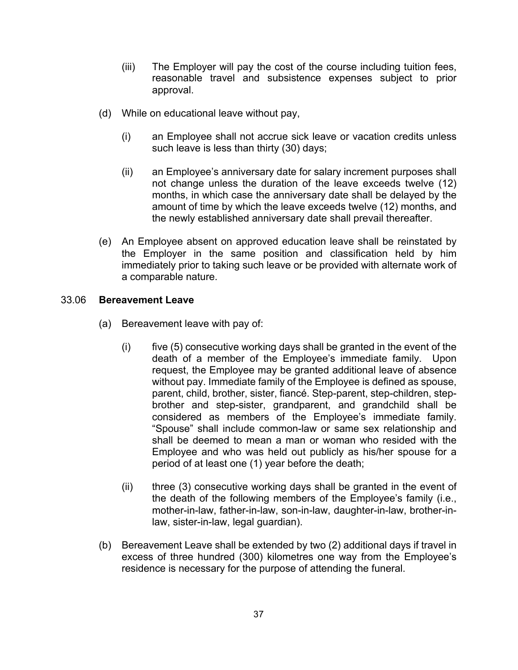- (iii) The Employer will pay the cost of the course including tuition fees, reasonable travel and subsistence expenses subject to prior approval.
- (d) While on educational leave without pay,
	- (i) an Employee shall not accrue sick leave or vacation credits unless such leave is less than thirty (30) days;
	- (ii) an Employee's anniversary date for salary increment purposes shall not change unless the duration of the leave exceeds twelve (12) months, in which case the anniversary date shall be delayed by the amount of time by which the leave exceeds twelve (12) months, and the newly established anniversary date shall prevail thereafter.
- (e) An Employee absent on approved education leave shall be reinstated by the Employer in the same position and classification held by him immediately prior to taking such leave or be provided with alternate work of a comparable nature.

#### 33.06 **Bereavement Leave**

- (a) Bereavement leave with pay of:
	- $(i)$  five  $(5)$  consecutive working days shall be granted in the event of the death of a member of the Employee's immediate family. Upon request, the Employee may be granted additional leave of absence without pay. Immediate family of the Employee is defined as spouse, parent, child, brother, sister, fiancé. Step-parent, step-children, stepbrother and step-sister, grandparent, and grandchild shall be considered as members of the Employee's immediate family. "Spouse" shall include common-law or same sex relationship and shall be deemed to mean a man or woman who resided with the Employee and who was held out publicly as his/her spouse for a period of at least one (1) year before the death;
	- (ii) three (3) consecutive working days shall be granted in the event of the death of the following members of the Employee's family (i.e., mother-in-law, father-in-law, son-in-law, daughter-in-law, brother-inlaw, sister-in-law, legal guardian).
- (b) Bereavement Leave shall be extended by two (2) additional days if travel in excess of three hundred (300) kilometres one way from the Employee's residence is necessary for the purpose of attending the funeral.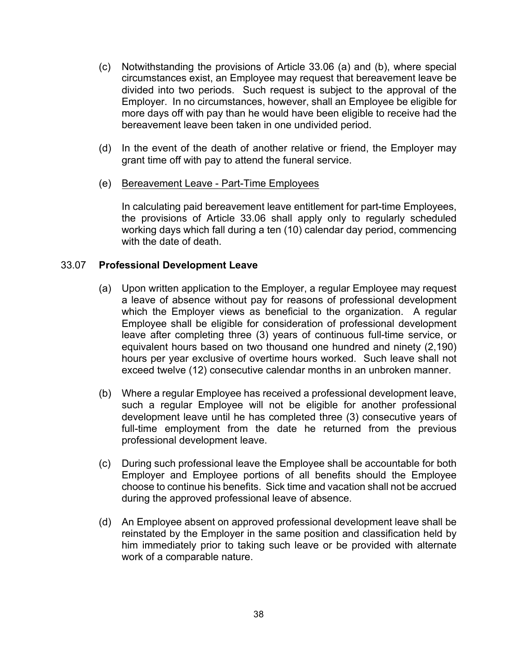- (c) Notwithstanding the provisions of Article 33.06 (a) and (b), where special circumstances exist, an Employee may request that bereavement leave be divided into two periods. Such request is subject to the approval of the Employer. In no circumstances, however, shall an Employee be eligible for more days off with pay than he would have been eligible to receive had the bereavement leave been taken in one undivided period.
- (d) In the event of the death of another relative or friend, the Employer may grant time off with pay to attend the funeral service.
- (e) Bereavement Leave Part-Time Employees

In calculating paid bereavement leave entitlement for part-time Employees, the provisions of Article 33.06 shall apply only to regularly scheduled working days which fall during a ten (10) calendar day period, commencing with the date of death.

#### 33.07 **Professional Development Leave**

- (a) Upon written application to the Employer, a regular Employee may request a leave of absence without pay for reasons of professional development which the Employer views as beneficial to the organization. A regular Employee shall be eligible for consideration of professional development leave after completing three (3) years of continuous full-time service, or equivalent hours based on two thousand one hundred and ninety (2,190) hours per year exclusive of overtime hours worked. Such leave shall not exceed twelve (12) consecutive calendar months in an unbroken manner.
- (b) Where a regular Employee has received a professional development leave, such a regular Employee will not be eligible for another professional development leave until he has completed three (3) consecutive years of full-time employment from the date he returned from the previous professional development leave.
- (c) During such professional leave the Employee shall be accountable for both Employer and Employee portions of all benefits should the Employee choose to continue his benefits. Sick time and vacation shall not be accrued during the approved professional leave of absence.
- (d) An Employee absent on approved professional development leave shall be reinstated by the Employer in the same position and classification held by him immediately prior to taking such leave or be provided with alternate work of a comparable nature.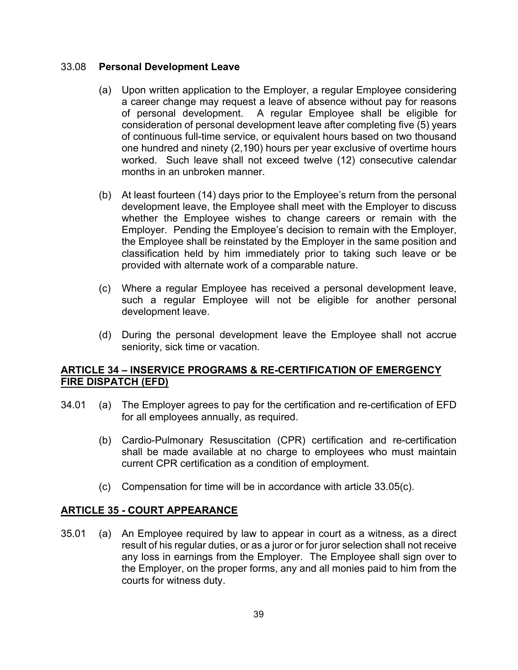#### 33.08 **Personal Development Leave**

- (a) Upon written application to the Employer, a regular Employee considering a career change may request a leave of absence without pay for reasons of personal development. A regular Employee shall be eligible for consideration of personal development leave after completing five (5) years of continuous full-time service, or equivalent hours based on two thousand one hundred and ninety (2,190) hours per year exclusive of overtime hours worked. Such leave shall not exceed twelve (12) consecutive calendar months in an unbroken manner.
- (b) At least fourteen (14) days prior to the Employee's return from the personal development leave, the Employee shall meet with the Employer to discuss whether the Employee wishes to change careers or remain with the Employer. Pending the Employee's decision to remain with the Employer, the Employee shall be reinstated by the Employer in the same position and classification held by him immediately prior to taking such leave or be provided with alternate work of a comparable nature.
- (c) Where a regular Employee has received a personal development leave, such a regular Employee will not be eligible for another personal development leave.
- (d) During the personal development leave the Employee shall not accrue seniority, sick time or vacation.

## **ARTICLE 34 – INSERVICE PROGRAMS & RE-CERTIFICATION OF EMERGENCY FIRE DISPATCH (EFD)**

- 34.01 (a) The Employer agrees to pay for the certification and re-certification of EFD for all employees annually, as required.
	- (b) Cardio-Pulmonary Resuscitation (CPR) certification and re-certification shall be made available at no charge to employees who must maintain current CPR certification as a condition of employment.
	- (c) Compensation for time will be in accordance with article 33.05(c).

## **ARTICLE 35 - COURT APPEARANCE**

35.01 (a) An Employee required by law to appear in court as a witness, as a direct result of his regular duties, or as a juror or for juror selection shall not receive any loss in earnings from the Employer. The Employee shall sign over to the Employer, on the proper forms, any and all monies paid to him from the courts for witness duty.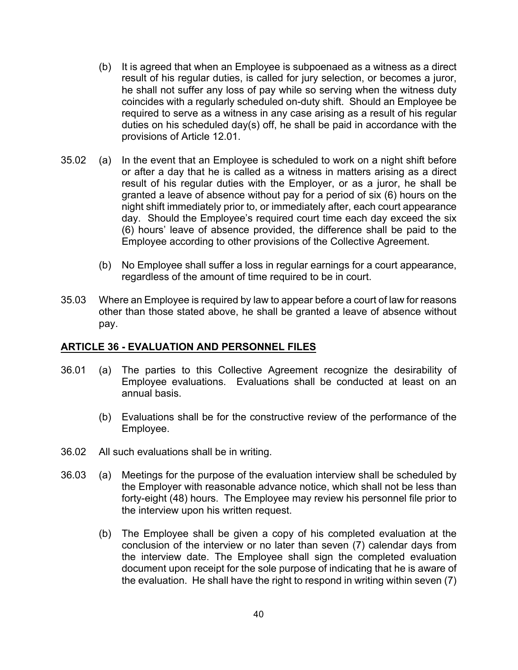- (b) It is agreed that when an Employee is subpoenaed as a witness as a direct result of his regular duties, is called for jury selection, or becomes a juror, he shall not suffer any loss of pay while so serving when the witness duty coincides with a regularly scheduled on-duty shift. Should an Employee be required to serve as a witness in any case arising as a result of his regular duties on his scheduled day(s) off, he shall be paid in accordance with the provisions of Article 12.01.
- 35.02 (a) In the event that an Employee is scheduled to work on a night shift before or after a day that he is called as a witness in matters arising as a direct result of his regular duties with the Employer, or as a juror, he shall be granted a leave of absence without pay for a period of six (6) hours on the night shift immediately prior to, or immediately after, each court appearance day. Should the Employee's required court time each day exceed the six (6) hours' leave of absence provided, the difference shall be paid to the Employee according to other provisions of the Collective Agreement.
	- (b) No Employee shall suffer a loss in regular earnings for a court appearance, regardless of the amount of time required to be in court.
- 35.03 Where an Employee is required by law to appear before a court of law for reasons other than those stated above, he shall be granted a leave of absence without pay.

#### **ARTICLE 36 - EVALUATION AND PERSONNEL FILES**

- 36.01 (a) The parties to this Collective Agreement recognize the desirability of Employee evaluations. Evaluations shall be conducted at least on an annual basis.
	- (b) Evaluations shall be for the constructive review of the performance of the Employee.
- 36.02 All such evaluations shall be in writing.
- 36.03 (a) Meetings for the purpose of the evaluation interview shall be scheduled by the Employer with reasonable advance notice, which shall not be less than forty-eight (48) hours. The Employee may review his personnel file prior to the interview upon his written request.
	- (b) The Employee shall be given a copy of his completed evaluation at the conclusion of the interview or no later than seven (7) calendar days from the interview date. The Employee shall sign the completed evaluation document upon receipt for the sole purpose of indicating that he is aware of the evaluation. He shall have the right to respond in writing within seven (7)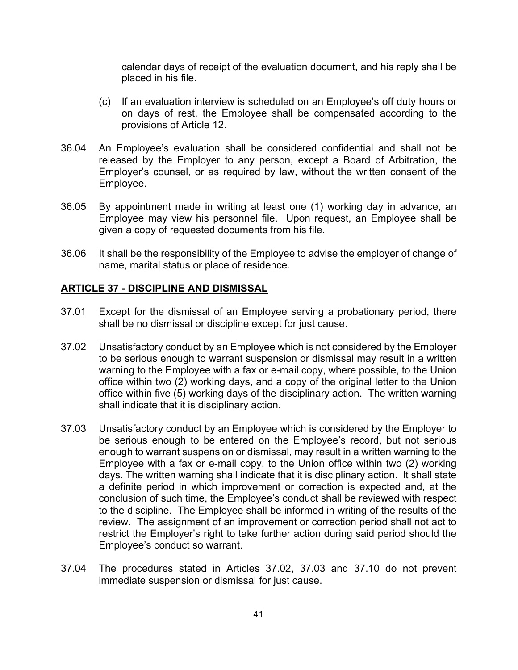calendar days of receipt of the evaluation document, and his reply shall be placed in his file.

- (c) If an evaluation interview is scheduled on an Employee's off duty hours or on days of rest, the Employee shall be compensated according to the provisions of Article 12.
- 36.04 An Employee's evaluation shall be considered confidential and shall not be released by the Employer to any person, except a Board of Arbitration, the Employer's counsel, or as required by law, without the written consent of the Employee.
- 36.05 By appointment made in writing at least one (1) working day in advance, an Employee may view his personnel file. Upon request, an Employee shall be given a copy of requested documents from his file.
- 36.06 It shall be the responsibility of the Employee to advise the employer of change of name, marital status or place of residence.

## **ARTICLE 37 - DISCIPLINE AND DISMISSAL**

- 37.01 Except for the dismissal of an Employee serving a probationary period, there shall be no dismissal or discipline except for just cause.
- 37.02 Unsatisfactory conduct by an Employee which is not considered by the Employer to be serious enough to warrant suspension or dismissal may result in a written warning to the Employee with a fax or e-mail copy, where possible, to the Union office within two (2) working days, and a copy of the original letter to the Union office within five (5) working days of the disciplinary action. The written warning shall indicate that it is disciplinary action.
- 37.03 Unsatisfactory conduct by an Employee which is considered by the Employer to be serious enough to be entered on the Employee's record, but not serious enough to warrant suspension or dismissal, may result in a written warning to the Employee with a fax or e-mail copy, to the Union office within two (2) working days. The written warning shall indicate that it is disciplinary action. It shall state a definite period in which improvement or correction is expected and, at the conclusion of such time, the Employee's conduct shall be reviewed with respect to the discipline. The Employee shall be informed in writing of the results of the review. The assignment of an improvement or correction period shall not act to restrict the Employer's right to take further action during said period should the Employee's conduct so warrant.
- 37.04 The procedures stated in Articles 37.02, 37.03 and 37.10 do not prevent immediate suspension or dismissal for just cause.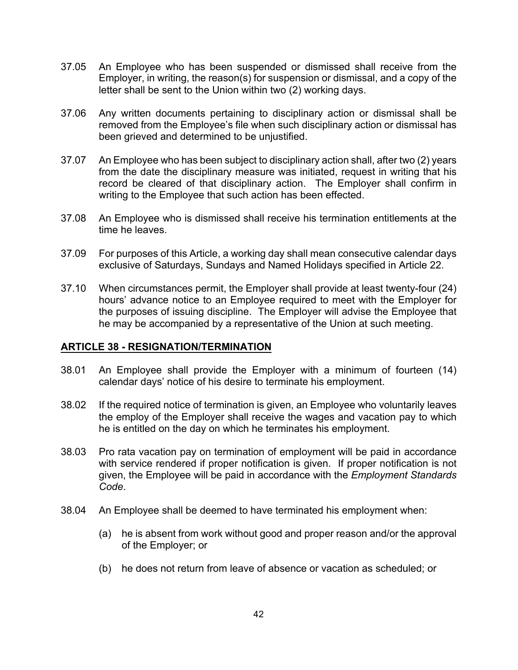- 37.05 An Employee who has been suspended or dismissed shall receive from the Employer, in writing, the reason(s) for suspension or dismissal, and a copy of the letter shall be sent to the Union within two (2) working days.
- 37.06 Any written documents pertaining to disciplinary action or dismissal shall be removed from the Employee's file when such disciplinary action or dismissal has been grieved and determined to be unjustified.
- 37.07 An Employee who has been subject to disciplinary action shall, after two (2) years from the date the disciplinary measure was initiated, request in writing that his record be cleared of that disciplinary action. The Employer shall confirm in writing to the Employee that such action has been effected.
- 37.08 An Employee who is dismissed shall receive his termination entitlements at the time he leaves.
- 37.09 For purposes of this Article, a working day shall mean consecutive calendar days exclusive of Saturdays, Sundays and Named Holidays specified in Article 22.
- 37.10 When circumstances permit, the Employer shall provide at least twenty-four (24) hours' advance notice to an Employee required to meet with the Employer for the purposes of issuing discipline. The Employer will advise the Employee that he may be accompanied by a representative of the Union at such meeting.

#### **ARTICLE 38 - RESIGNATION/TERMINATION**

- 38.01 An Employee shall provide the Employer with a minimum of fourteen (14) calendar days' notice of his desire to terminate his employment.
- 38.02 If the required notice of termination is given, an Employee who voluntarily leaves the employ of the Employer shall receive the wages and vacation pay to which he is entitled on the day on which he terminates his employment.
- 38.03 Pro rata vacation pay on termination of employment will be paid in accordance with service rendered if proper notification is given. If proper notification is not given, the Employee will be paid in accordance with the *Employment Standards Code*.
- 38.04 An Employee shall be deemed to have terminated his employment when:
	- (a) he is absent from work without good and proper reason and/or the approval of the Employer; or
	- (b) he does not return from leave of absence or vacation as scheduled; or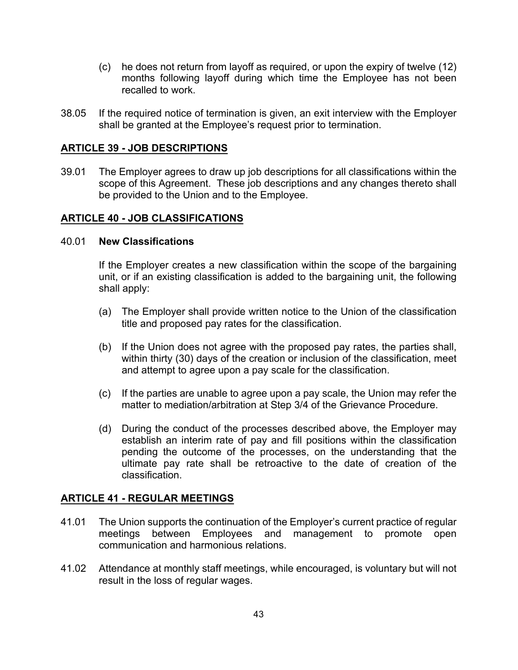- (c) he does not return from layoff as required, or upon the expiry of twelve (12) months following layoff during which time the Employee has not been recalled to work.
- 38.05 If the required notice of termination is given, an exit interview with the Employer shall be granted at the Employee's request prior to termination.

#### **ARTICLE 39 - JOB DESCRIPTIONS**

39.01 The Employer agrees to draw up job descriptions for all classifications within the scope of this Agreement. These job descriptions and any changes thereto shall be provided to the Union and to the Employee.

#### **ARTICLE 40 - JOB CLASSIFICATIONS**

#### 40.01 **New Classifications**

If the Employer creates a new classification within the scope of the bargaining unit, or if an existing classification is added to the bargaining unit, the following shall apply:

- (a) The Employer shall provide written notice to the Union of the classification title and proposed pay rates for the classification.
- (b) If the Union does not agree with the proposed pay rates, the parties shall, within thirty (30) days of the creation or inclusion of the classification, meet and attempt to agree upon a pay scale for the classification.
- (c) If the parties are unable to agree upon a pay scale, the Union may refer the matter to mediation/arbitration at Step 3/4 of the Grievance Procedure.
- (d) During the conduct of the processes described above, the Employer may establish an interim rate of pay and fill positions within the classification pending the outcome of the processes, on the understanding that the ultimate pay rate shall be retroactive to the date of creation of the classification.

#### **ARTICLE 41 - REGULAR MEETINGS**

- 41.01 The Union supports the continuation of the Employer's current practice of regular meetings between Employees and management to promote open communication and harmonious relations.
- 41.02 Attendance at monthly staff meetings, while encouraged, is voluntary but will not result in the loss of regular wages.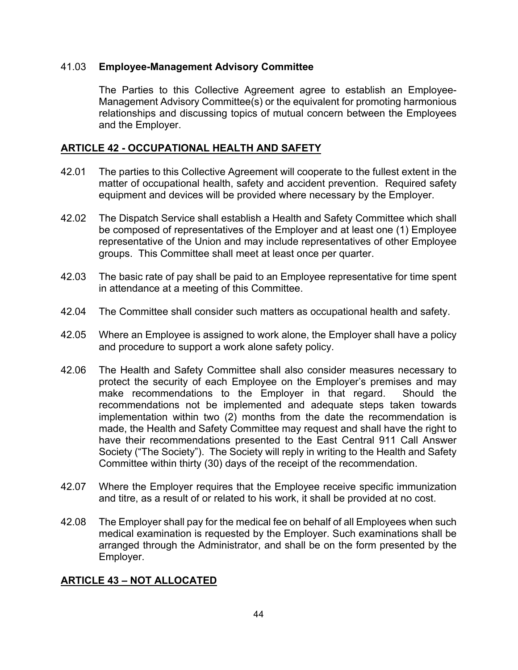#### 41.03 **Employee-Management Advisory Committee**

The Parties to this Collective Agreement agree to establish an Employee-Management Advisory Committee(s) or the equivalent for promoting harmonious relationships and discussing topics of mutual concern between the Employees and the Employer.

## **ARTICLE 42 - OCCUPATIONAL HEALTH AND SAFETY**

- 42.01 The parties to this Collective Agreement will cooperate to the fullest extent in the matter of occupational health, safety and accident prevention. Required safety equipment and devices will be provided where necessary by the Employer.
- 42.02 The Dispatch Service shall establish a Health and Safety Committee which shall be composed of representatives of the Employer and at least one (1) Employee representative of the Union and may include representatives of other Employee groups. This Committee shall meet at least once per quarter.
- 42.03 The basic rate of pay shall be paid to an Employee representative for time spent in attendance at a meeting of this Committee.
- 42.04 The Committee shall consider such matters as occupational health and safety.
- 42.05 Where an Employee is assigned to work alone, the Employer shall have a policy and procedure to support a work alone safety policy.
- 42.06 The Health and Safety Committee shall also consider measures necessary to protect the security of each Employee on the Employer's premises and may make recommendations to the Employer in that regard. Should the recommendations not be implemented and adequate steps taken towards implementation within two (2) months from the date the recommendation is made, the Health and Safety Committee may request and shall have the right to have their recommendations presented to the East Central 911 Call Answer Society ("The Society"). The Society will reply in writing to the Health and Safety Committee within thirty (30) days of the receipt of the recommendation.
- 42.07 Where the Employer requires that the Employee receive specific immunization and titre, as a result of or related to his work, it shall be provided at no cost.
- 42.08 The Employer shall pay for the medical fee on behalf of all Employees when such medical examination is requested by the Employer. Such examinations shall be arranged through the Administrator, and shall be on the form presented by the Employer.

## **ARTICLE 43 – NOT ALLOCATED**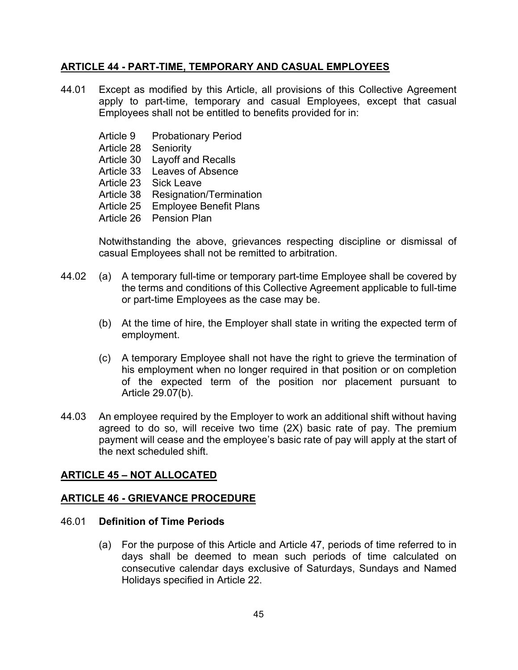## **ARTICLE 44 - PART-TIME, TEMPORARY AND CASUAL EMPLOYEES**

- 44.01 Except as modified by this Article, all provisions of this Collective Agreement apply to part-time, temporary and casual Employees, except that casual Employees shall not be entitled to benefits provided for in:
	- Article 9 Probationary Period
	- Article 28 Seniority
	- Article 30 Layoff and Recalls
	- Article 33 Leaves of Absence
	- Article 23 Sick Leave
	- Article 38 Resignation/Termination
	- Article 25 Employee Benefit Plans
	- Article 26 Pension Plan

Notwithstanding the above, grievances respecting discipline or dismissal of casual Employees shall not be remitted to arbitration.

- 44.02 (a) A temporary full-time or temporary part-time Employee shall be covered by the terms and conditions of this Collective Agreement applicable to full-time or part-time Employees as the case may be.
	- (b) At the time of hire, the Employer shall state in writing the expected term of employment.
	- (c) A temporary Employee shall not have the right to grieve the termination of his employment when no longer required in that position or on completion of the expected term of the position nor placement pursuant to Article 29.07(b).
- 44.03 An employee required by the Employer to work an additional shift without having agreed to do so, will receive two time (2X) basic rate of pay. The premium payment will cease and the employee's basic rate of pay will apply at the start of the next scheduled shift.

## **ARTICLE 45 – NOT ALLOCATED**

## **ARTICLE 46 - GRIEVANCE PROCEDURE**

#### 46.01 **Definition of Time Periods**

(a) For the purpose of this Article and Article 47, periods of time referred to in days shall be deemed to mean such periods of time calculated on consecutive calendar days exclusive of Saturdays, Sundays and Named Holidays specified in Article 22.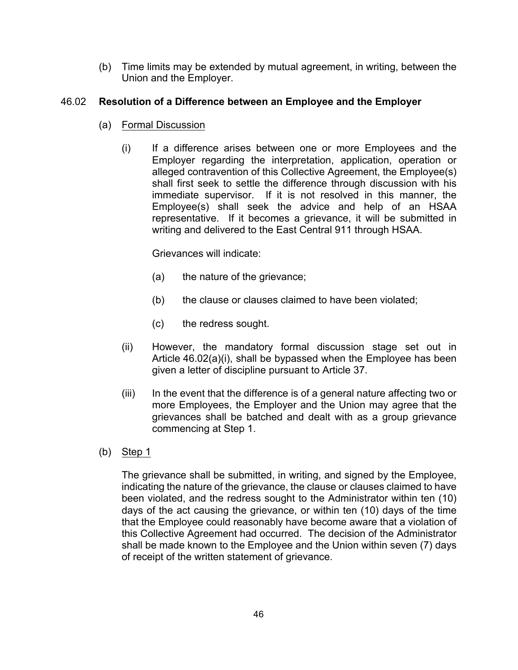(b) Time limits may be extended by mutual agreement, in writing, between the Union and the Employer.

## 46.02 **Resolution of a Difference between an Employee and the Employer**

- (a) Formal Discussion
	- (i) If a difference arises between one or more Employees and the Employer regarding the interpretation, application, operation or alleged contravention of this Collective Agreement, the Employee(s) shall first seek to settle the difference through discussion with his immediate supervisor. If it is not resolved in this manner, the Employee(s) shall seek the advice and help of an HSAA representative. If it becomes a grievance, it will be submitted in writing and delivered to the East Central 911 through HSAA.

Grievances will indicate:

- (a) the nature of the grievance;
- (b) the clause or clauses claimed to have been violated;
- (c) the redress sought.
- (ii) However, the mandatory formal discussion stage set out in Article 46.02(a)(i), shall be bypassed when the Employee has been given a letter of discipline pursuant to Article 37.
- (iii) In the event that the difference is of a general nature affecting two or more Employees, the Employer and the Union may agree that the grievances shall be batched and dealt with as a group grievance commencing at Step 1.
- (b) Step 1

The grievance shall be submitted, in writing, and signed by the Employee, indicating the nature of the grievance, the clause or clauses claimed to have been violated, and the redress sought to the Administrator within ten (10) days of the act causing the grievance, or within ten (10) days of the time that the Employee could reasonably have become aware that a violation of this Collective Agreement had occurred. The decision of the Administrator shall be made known to the Employee and the Union within seven (7) days of receipt of the written statement of grievance.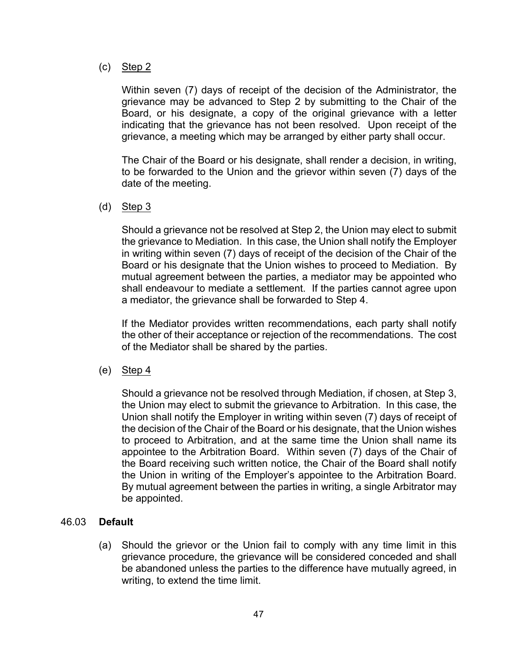#### (c) Step 2

Within seven (7) days of receipt of the decision of the Administrator, the grievance may be advanced to Step 2 by submitting to the Chair of the Board, or his designate, a copy of the original grievance with a letter indicating that the grievance has not been resolved. Upon receipt of the grievance, a meeting which may be arranged by either party shall occur.

The Chair of the Board or his designate, shall render a decision, in writing, to be forwarded to the Union and the grievor within seven (7) days of the date of the meeting.

(d) Step 3

Should a grievance not be resolved at Step 2, the Union may elect to submit the grievance to Mediation. In this case, the Union shall notify the Employer in writing within seven (7) days of receipt of the decision of the Chair of the Board or his designate that the Union wishes to proceed to Mediation. By mutual agreement between the parties, a mediator may be appointed who shall endeavour to mediate a settlement. If the parties cannot agree upon a mediator, the grievance shall be forwarded to Step 4.

If the Mediator provides written recommendations, each party shall notify the other of their acceptance or rejection of the recommendations. The cost of the Mediator shall be shared by the parties.

(e) Step  $4$ 

Should a grievance not be resolved through Mediation, if chosen, at Step 3, the Union may elect to submit the grievance to Arbitration. In this case, the Union shall notify the Employer in writing within seven (7) days of receipt of the decision of the Chair of the Board or his designate, that the Union wishes to proceed to Arbitration, and at the same time the Union shall name its appointee to the Arbitration Board. Within seven (7) days of the Chair of the Board receiving such written notice, the Chair of the Board shall notify the Union in writing of the Employer's appointee to the Arbitration Board. By mutual agreement between the parties in writing, a single Arbitrator may be appointed.

## 46.03 **Default**

(a) Should the grievor or the Union fail to comply with any time limit in this grievance procedure, the grievance will be considered conceded and shall be abandoned unless the parties to the difference have mutually agreed, in writing, to extend the time limit.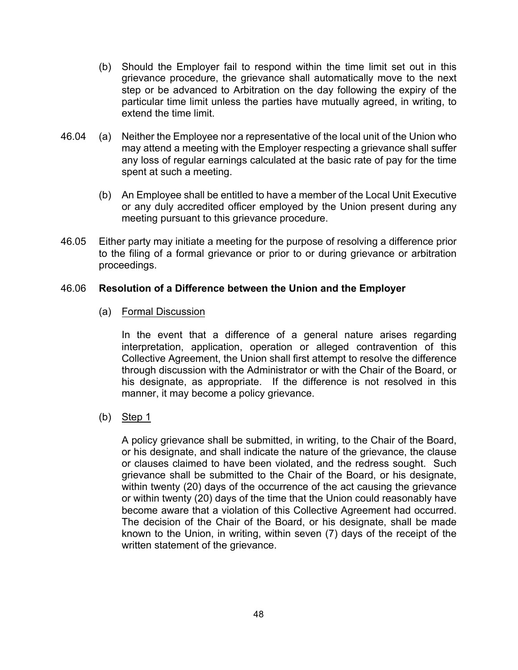- (b) Should the Employer fail to respond within the time limit set out in this grievance procedure, the grievance shall automatically move to the next step or be advanced to Arbitration on the day following the expiry of the particular time limit unless the parties have mutually agreed, in writing, to extend the time limit.
- 46.04 (a) Neither the Employee nor a representative of the local unit of the Union who may attend a meeting with the Employer respecting a grievance shall suffer any loss of regular earnings calculated at the basic rate of pay for the time spent at such a meeting.
	- (b) An Employee shall be entitled to have a member of the Local Unit Executive or any duly accredited officer employed by the Union present during any meeting pursuant to this grievance procedure.
- 46.05 Either party may initiate a meeting for the purpose of resolving a difference prior to the filing of a formal grievance or prior to or during grievance or arbitration proceedings.

## 46.06 **Resolution of a Difference between the Union and the Employer**

(a) Formal Discussion

In the event that a difference of a general nature arises regarding interpretation, application, operation or alleged contravention of this Collective Agreement, the Union shall first attempt to resolve the difference through discussion with the Administrator or with the Chair of the Board, or his designate, as appropriate. If the difference is not resolved in this manner, it may become a policy grievance.

(b) Step 1

A policy grievance shall be submitted, in writing, to the Chair of the Board, or his designate, and shall indicate the nature of the grievance, the clause or clauses claimed to have been violated, and the redress sought. Such grievance shall be submitted to the Chair of the Board, or his designate, within twenty (20) days of the occurrence of the act causing the grievance or within twenty (20) days of the time that the Union could reasonably have become aware that a violation of this Collective Agreement had occurred. The decision of the Chair of the Board, or his designate, shall be made known to the Union, in writing, within seven (7) days of the receipt of the written statement of the grievance.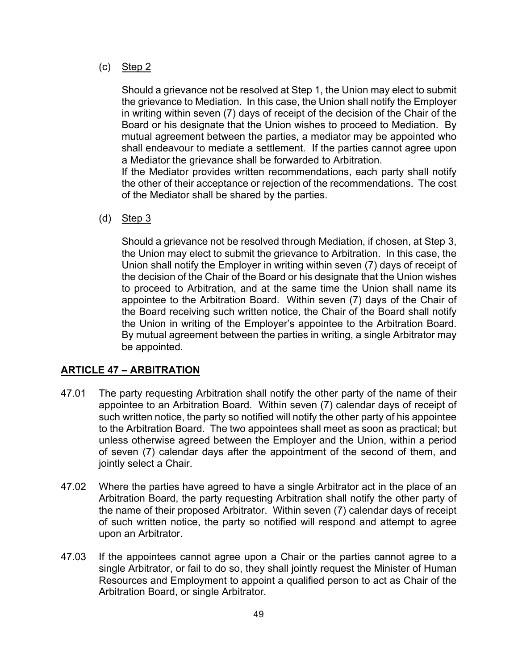(c) Step 2

Should a grievance not be resolved at Step 1, the Union may elect to submit the grievance to Mediation. In this case, the Union shall notify the Employer in writing within seven (7) days of receipt of the decision of the Chair of the Board or his designate that the Union wishes to proceed to Mediation. By mutual agreement between the parties, a mediator may be appointed who shall endeavour to mediate a settlement. If the parties cannot agree upon a Mediator the grievance shall be forwarded to Arbitration.

If the Mediator provides written recommendations, each party shall notify the other of their acceptance or rejection of the recommendations. The cost of the Mediator shall be shared by the parties.

(d) Step 3

Should a grievance not be resolved through Mediation, if chosen, at Step 3, the Union may elect to submit the grievance to Arbitration. In this case, the Union shall notify the Employer in writing within seven (7) days of receipt of the decision of the Chair of the Board or his designate that the Union wishes to proceed to Arbitration, and at the same time the Union shall name its appointee to the Arbitration Board. Within seven (7) days of the Chair of the Board receiving such written notice, the Chair of the Board shall notify the Union in writing of the Employer's appointee to the Arbitration Board. By mutual agreement between the parties in writing, a single Arbitrator may be appointed.

## **ARTICLE 47 – ARBITRATION**

- 47.01 The party requesting Arbitration shall notify the other party of the name of their appointee to an Arbitration Board. Within seven (7) calendar days of receipt of such written notice, the party so notified will notify the other party of his appointee to the Arbitration Board. The two appointees shall meet as soon as practical; but unless otherwise agreed between the Employer and the Union, within a period of seven (7) calendar days after the appointment of the second of them, and jointly select a Chair.
- 47.02 Where the parties have agreed to have a single Arbitrator act in the place of an Arbitration Board, the party requesting Arbitration shall notify the other party of the name of their proposed Arbitrator. Within seven (7) calendar days of receipt of such written notice, the party so notified will respond and attempt to agree upon an Arbitrator.
- 47.03 If the appointees cannot agree upon a Chair or the parties cannot agree to a single Arbitrator, or fail to do so, they shall jointly request the Minister of Human Resources and Employment to appoint a qualified person to act as Chair of the Arbitration Board, or single Arbitrator.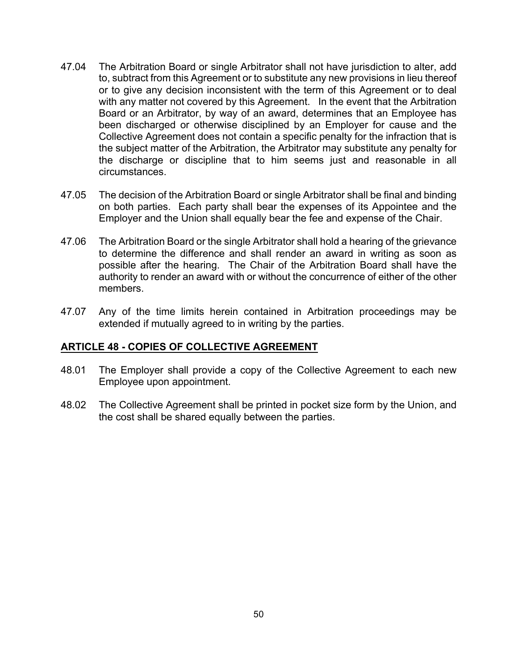- 47.04 The Arbitration Board or single Arbitrator shall not have jurisdiction to alter, add to, subtract from this Agreement or to substitute any new provisions in lieu thereof or to give any decision inconsistent with the term of this Agreement or to deal with any matter not covered by this Agreement. In the event that the Arbitration Board or an Arbitrator, by way of an award, determines that an Employee has been discharged or otherwise disciplined by an Employer for cause and the Collective Agreement does not contain a specific penalty for the infraction that is the subject matter of the Arbitration, the Arbitrator may substitute any penalty for the discharge or discipline that to him seems just and reasonable in all circumstances.
- 47.05 The decision of the Arbitration Board or single Arbitrator shall be final and binding on both parties. Each party shall bear the expenses of its Appointee and the Employer and the Union shall equally bear the fee and expense of the Chair.
- 47.06 The Arbitration Board or the single Arbitrator shall hold a hearing of the grievance to determine the difference and shall render an award in writing as soon as possible after the hearing. The Chair of the Arbitration Board shall have the authority to render an award with or without the concurrence of either of the other members.
- 47.07 Any of the time limits herein contained in Arbitration proceedings may be extended if mutually agreed to in writing by the parties.

#### **ARTICLE 48 - COPIES OF COLLECTIVE AGREEMENT**

- 48.01 The Employer shall provide a copy of the Collective Agreement to each new Employee upon appointment.
- 48.02 The Collective Agreement shall be printed in pocket size form by the Union, and the cost shall be shared equally between the parties.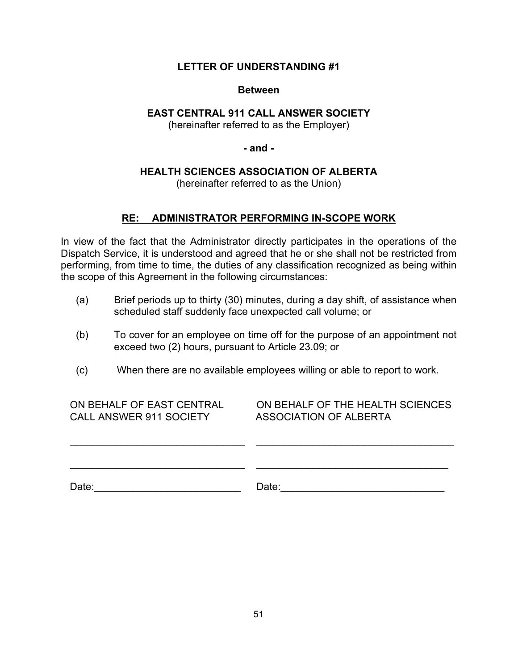### **LETTER OF UNDERSTANDING #1**

#### **Between**

## **EAST CENTRAL 911 CALL ANSWER SOCIETY**

(hereinafter referred to as the Employer)

**- and -**

## **HEALTH SCIENCES ASSOCIATION OF ALBERTA**

(hereinafter referred to as the Union)

## **RE: ADMINISTRATOR PERFORMING IN-SCOPE WORK**

In view of the fact that the Administrator directly participates in the operations of the Dispatch Service, it is understood and agreed that he or she shall not be restricted from performing, from time to time, the duties of any classification recognized as being within the scope of this Agreement in the following circumstances:

- (a) Brief periods up to thirty (30) minutes, during a day shift, of assistance when scheduled staff suddenly face unexpected call volume; or
- (b) To cover for an employee on time off for the purpose of an appointment not exceed two (2) hours, pursuant to Article 23.09; or
- (c) When there are no available employees willing or able to report to work.

ON BEHALF OF EAST CENTRAL CALL ANSWER 911 SOCIETY

ON BEHALF OF THE HEALTH SCIENCES ASSOCIATION OF ALBERTA

Date:\_\_\_\_\_\_\_\_\_\_\_\_\_\_\_\_\_\_\_\_\_\_\_\_\_\_ Date:\_\_\_\_\_\_\_\_\_\_\_\_\_\_\_\_\_\_\_\_\_\_\_\_\_\_\_\_\_

 $\mathcal{L}_\text{max}$  , and the set of the set of the set of the set of the set of the set of the set of the set of the set of the set of the set of the set of the set of the set of the set of the set of the set of the set of the

\_\_\_\_\_\_\_\_\_\_\_\_\_\_\_\_\_\_\_\_\_\_\_\_\_\_\_\_\_\_\_

 $\mathcal{L}_\text{max}$  , and the set of the set of the set of the set of the set of the set of the set of the set of the set of the set of the set of the set of the set of the set of the set of the set of the set of the set of the

\_\_\_\_\_\_\_\_\_\_\_\_\_\_\_\_\_\_\_\_\_\_\_\_\_\_\_\_\_\_\_\_\_\_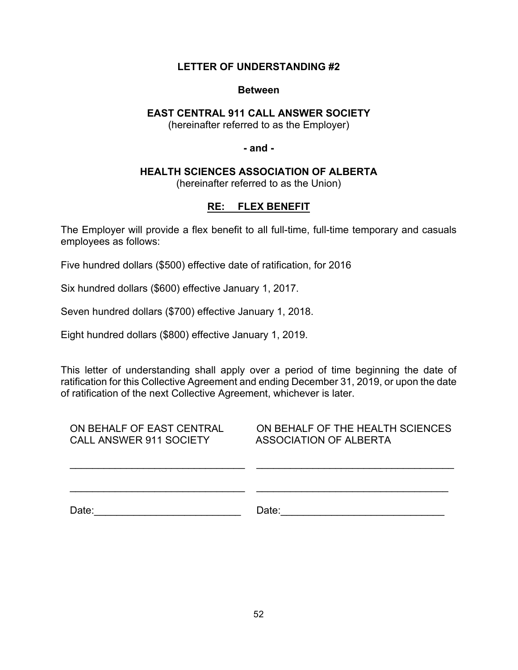#### **LETTER OF UNDERSTANDING #2**

#### **Between**

### **EAST CENTRAL 911 CALL ANSWER SOCIETY**

(hereinafter referred to as the Employer)

**- and -**

#### **HEALTH SCIENCES ASSOCIATION OF ALBERTA**

(hereinafter referred to as the Union)

## **RE: FLEX BENEFIT**

The Employer will provide a flex benefit to all full-time, full-time temporary and casuals employees as follows:

Five hundred dollars (\$500) effective date of ratification, for 2016

Six hundred dollars (\$600) effective January 1, 2017.

Seven hundred dollars (\$700) effective January 1, 2018.

Eight hundred dollars (\$800) effective January 1, 2019.

This letter of understanding shall apply over a period of time beginning the date of ratification for this Collective Agreement and ending December 31, 2019, or upon the date of ratification of the next Collective Agreement, whichever is later.

| ON BEHALF OF EAST CENTRAL | ON BEHALF OF THE HEALTH SCIENCES |
|---------------------------|----------------------------------|
| CALL ANSWER 911 SOCIETY   | ASSOCIATION OF ALBERTA           |
|                           |                                  |

Date:\_\_\_\_\_\_\_\_\_\_\_\_\_\_\_\_\_\_\_\_\_\_\_\_\_\_ Date:\_\_\_\_\_\_\_\_\_\_\_\_\_\_\_\_\_\_\_\_\_\_\_\_\_\_\_\_\_

 $\mathcal{L}_\text{max}$  , and the set of the set of the set of the set of the set of the set of the set of the set of the set of the set of the set of the set of the set of the set of the set of the set of the set of the set of the

 $\overline{\phantom{a}}$  , and the set of the set of the set of the set of the set of the set of the set of the set of the set of the set of the set of the set of the set of the set of the set of the set of the set of the set of the s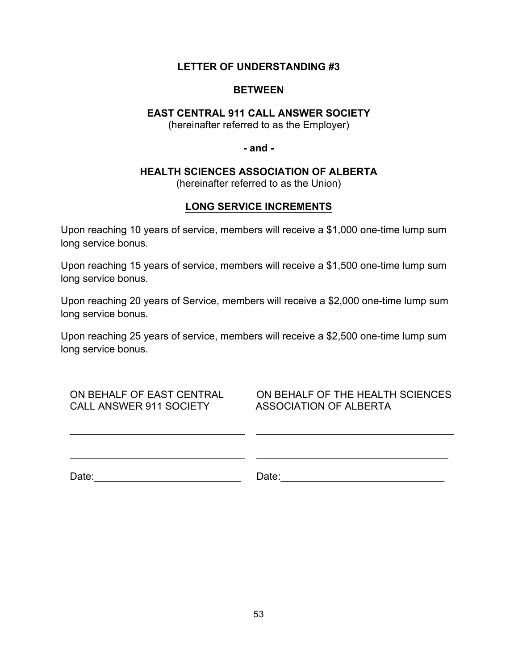### **LETTER OF UNDERSTANDING #3**

### **BETWEEN**

## **EAST CENTRAL 911 CALL ANSWER SOCIETY**

(hereinafter referred to as the Employer)

**- and -**

#### **HEALTH SCIENCES ASSOCIATION OF ALBERTA**

(hereinafter referred to as the Union)

## **LONG SERVICE INCREMENTS**

Upon reaching 10 years of service, members will receive a \$1,000 one-time lump sum long service bonus.

Upon reaching 15 years of service, members will receive a \$1,500 one-time lump sum long service bonus.

Upon reaching 20 years of Service, members will receive a \$2,000 one-time lump sum long service bonus.

Upon reaching 25 years of service, members will receive a \$2,500 one-time lump sum long service bonus.

| ON BEHALF OF EAST CENTRAL      |
|--------------------------------|
| <b>CALL ANSWER 911 SOCIETY</b> |

ON BEHALF OF THE HEALTH SCIENCES ASSOCIATION OF ALBERTA

\_\_\_\_\_\_\_\_\_\_\_\_\_\_\_\_\_\_\_\_\_\_\_\_\_\_\_\_\_\_\_\_\_\_\_

\_\_\_\_\_\_\_\_\_\_\_\_\_\_\_\_\_\_\_\_\_\_\_\_\_\_\_\_\_\_\_\_\_\_

| Date: |  |  |  |
|-------|--|--|--|
|       |  |  |  |

\_\_\_\_\_\_\_\_\_\_\_\_\_\_\_\_\_\_\_\_\_\_\_\_\_\_\_\_\_\_\_

\_\_\_\_\_\_\_\_\_\_\_\_\_\_\_\_\_\_\_\_\_\_\_\_\_\_\_\_\_\_\_

Date:\_\_\_\_\_\_\_\_\_\_\_\_\_\_\_\_\_\_\_\_\_\_\_\_\_\_ Date:\_\_\_\_\_\_\_\_\_\_\_\_\_\_\_\_\_\_\_\_\_\_\_\_\_\_\_\_\_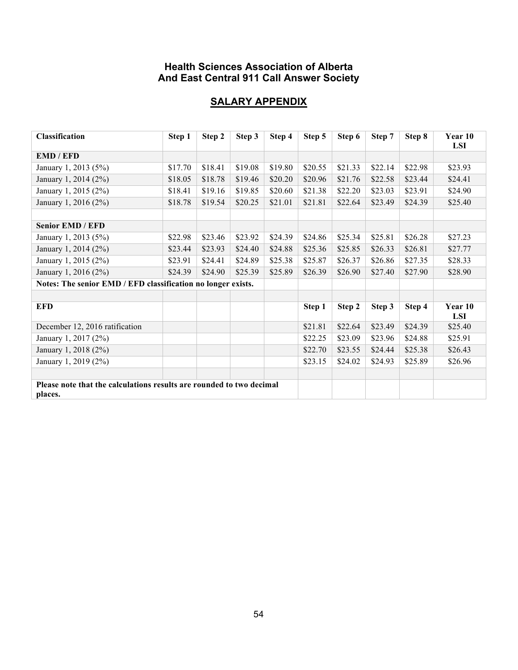## **Health Sciences Association of Alberta And East Central 911 Call Answer Society**

## **SALARY APPENDIX**

| <b>Classification</b>                                                | Step 1  | Step 2  | Step 3  | Step 4  | Step 5  | Step 6  | Step 7  | Step 8  | Year 10<br><b>LSI</b> |
|----------------------------------------------------------------------|---------|---------|---------|---------|---------|---------|---------|---------|-----------------------|
| <b>EMD/EFD</b>                                                       |         |         |         |         |         |         |         |         |                       |
| January 1, 2013 (5%)                                                 | \$17.70 | \$18.41 | \$19.08 | \$19.80 | \$20.55 | \$21.33 | \$22.14 | \$22.98 | \$23.93               |
| January 1, 2014 (2%)                                                 | \$18.05 | \$18.78 | \$19.46 | \$20.20 | \$20.96 | \$21.76 | \$22.58 | \$23.44 | \$24.41               |
| January 1, 2015 (2%)                                                 | \$18.41 | \$19.16 | \$19.85 | \$20.60 | \$21.38 | \$22.20 | \$23.03 | \$23.91 | \$24.90               |
| January 1, 2016 (2%)                                                 | \$18.78 | \$19.54 | \$20.25 | \$21.01 | \$21.81 | \$22.64 | \$23.49 | \$24.39 | \$25.40               |
|                                                                      |         |         |         |         |         |         |         |         |                       |
| <b>Senior EMD / EFD</b>                                              |         |         |         |         |         |         |         |         |                       |
| January 1, 2013 (5%)                                                 | \$22.98 | \$23.46 | \$23.92 | \$24.39 | \$24.86 | \$25.34 | \$25.81 | \$26.28 | \$27.23               |
| January 1, 2014 (2%)                                                 | \$23.44 | \$23.93 | \$24.40 | \$24.88 | \$25.36 | \$25.85 | \$26.33 | \$26.81 | \$27.77               |
| January 1, 2015 (2%)                                                 | \$23.91 | \$24.41 | \$24.89 | \$25.38 | \$25.87 | \$26.37 | \$26.86 | \$27.35 | \$28.33               |
| January 1, 2016 (2%)                                                 | \$24.39 | \$24.90 | \$25.39 | \$25.89 | \$26.39 | \$26.90 | \$27.40 | \$27.90 | \$28.90               |
| Notes: The senior EMD / EFD classification no longer exists.         |         |         |         |         |         |         |         |         |                       |
|                                                                      |         |         |         |         |         |         |         |         |                       |
| <b>EFD</b>                                                           |         |         |         |         | Step 1  | Step 2  | Step 3  | Step 4  | Year 10<br><b>LSI</b> |
| December 12, 2016 ratification                                       |         |         |         |         | \$21.81 | \$22.64 | \$23.49 | \$24.39 | \$25.40               |
| January 1, 2017 (2%)                                                 |         |         |         |         | \$22.25 | \$23.09 | \$23.96 | \$24.88 | \$25.91               |
| January 1, 2018 (2%)                                                 |         |         |         |         | \$22.70 | \$23.55 | \$24.44 | \$25.38 | \$26.43               |
| January 1, 2019 (2%)                                                 |         |         |         |         | \$23.15 | \$24.02 | \$24.93 | \$25.89 | \$26.96               |
|                                                                      |         |         |         |         |         |         |         |         |                       |
| Please note that the calculations results are rounded to two decimal |         |         |         |         |         |         |         |         |                       |
| places.                                                              |         |         |         |         |         |         |         |         |                       |